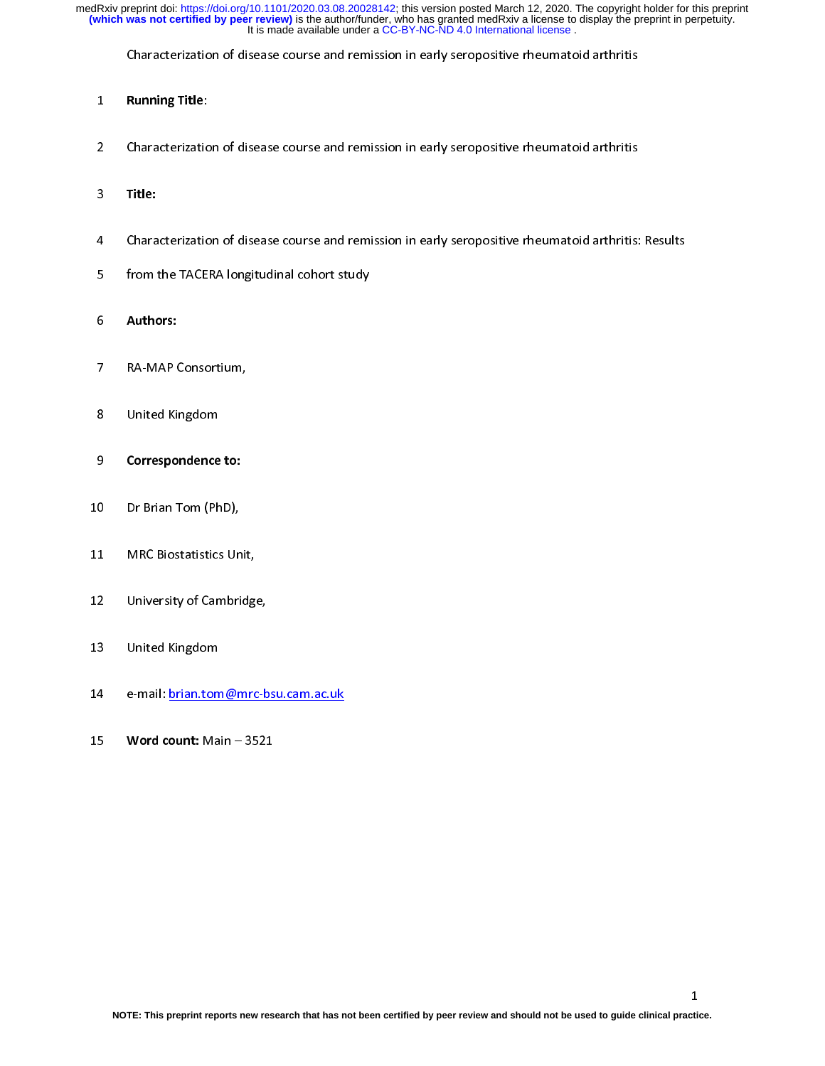Characterization of disease course and remission in early seropositive rheumatoid arthritis

- 1 Running Title:
- 2 Characterization of disease course and remission in early seropositive rheumatoid arthritis
- $3 \cdot \text{m}$
- 
- 4 Characterization of disease course and remission in early seropositive rheumatoid arthritis: Results:<br>5 From the TACERA longitudinal cohort study 5 from the TACERA longitudinal cohort study
- 6 Authors:
- 7 RA-MAP Consortium,
- 8 United Kingdom
- 9 Correspondence to:
- 10 10 Dr Brian Tom (PhD), provincial provincial provincial provincial provincial provincial provincial provincial<br>10 Dr Brian Tom (PhD), provincial provincial provincial provincial provincial provincial provincial provincial
- 11 March Biostatistics Unit, 1997<br>11 March Biostatistics Unit, 1997<br>11 March Biostatistics Unit, 1997
- $12$  University of Cambridge,
- 13 United Kingdom
- 14 e-mail: <u>briann brian.</u><br>.
- 15 Word count: Main 3521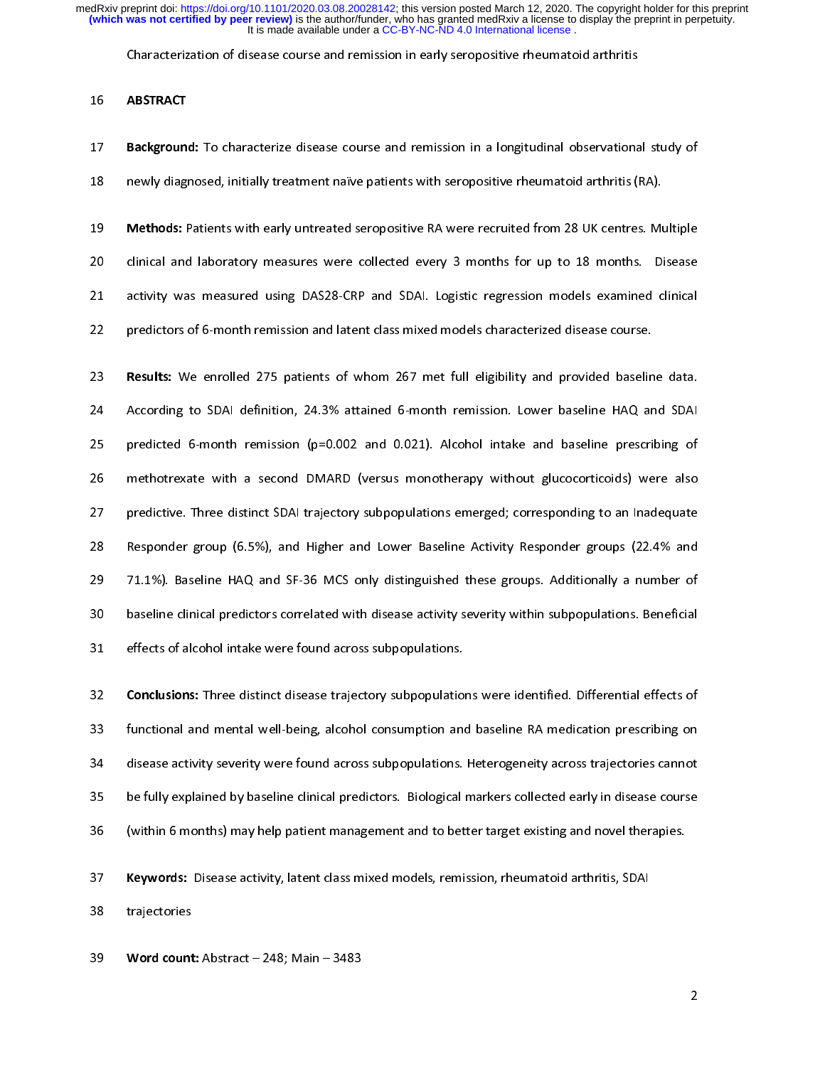Characterization of disease course and remission in early seropositive rheumatoid arthritis

### 10 ABSTRACT

**Background:** To characterize disease course and remission in a longitudinal observational study of<br>18 newly diagnosed, initially treatment naïve patients with seropositive rheumatoid arthritis (RA). 18 newly diagnosed, initially treatment naïve patients with seropositive rheumatoid arthritis (RA). 19 Methods: Patients with early untreated seropositive RA were recruited from 28 UK centres. Multiple<br>20 clinical and laboratory measures were collected every 3 months for up to 18 months. Disease 21 activity was measured using DAS28-CRP and SDAI. Logistic regression models examined clinical 22 predictors of 6-month remission and latent class mixed models characterized disease course.

22 predictors of 6-month remission and latent class mixed models characterized disease course.

23 **Results:** We enrolled 275 patients of whom 267 met full eligibility and provided baseline data.<br>24 According to SDAI definition, 24.3% attained 6-month remission. Lower baseline HAQ and SDAI 25 predicted 6-month remission (p=0.002 and 0.021). Alcohol intake and baseline prescribing of 26 methotrexate with a second DMARD (versus monotherapy without glucocorticoids) were also 27 predictive. Three distinct SDAI trajectory subpopulations emerged; corresponding to an Inadequate 28 Responder group (6.5%), and Higher and Lower Baseline Activity Responder groups (22.4% and 29 71.1%). Baseline HAQ and SF-36 MCS only distinguished these groups. Additionally a number of 30 baseline clinical predictors correlated with disease activity severity within subpopulations. Beneficial 31 effects of alcohol intake were found across subpopulations. 31 effects of alcohol intake were found across subpopulations.

32 Conclusions: Three distinct disease trajectory subpopulations were identified. Differential effects of<br>33 functional and mental well-being, alcohol consumption and baseline RA medication prescribing on 34 disease activity severity were found across subpopulations. Heterogeneity across trajectories cannot 35 be fully explained by baseline clinical predictors. Biological markers collected early in disease course 36 (within 6 months) may help patient management and to better target existing and novel therapies. 36 (within 6 months) may help patient management and to better target existing and novel therapies.

37 Keywords: Disease activity, latent class mixed models, remission, rheumatoid arthritis, SDAI<br>38 trajectories

38 trajectories

39 Word count: Abstract – 248; Main – 3483

 $\overline{2}$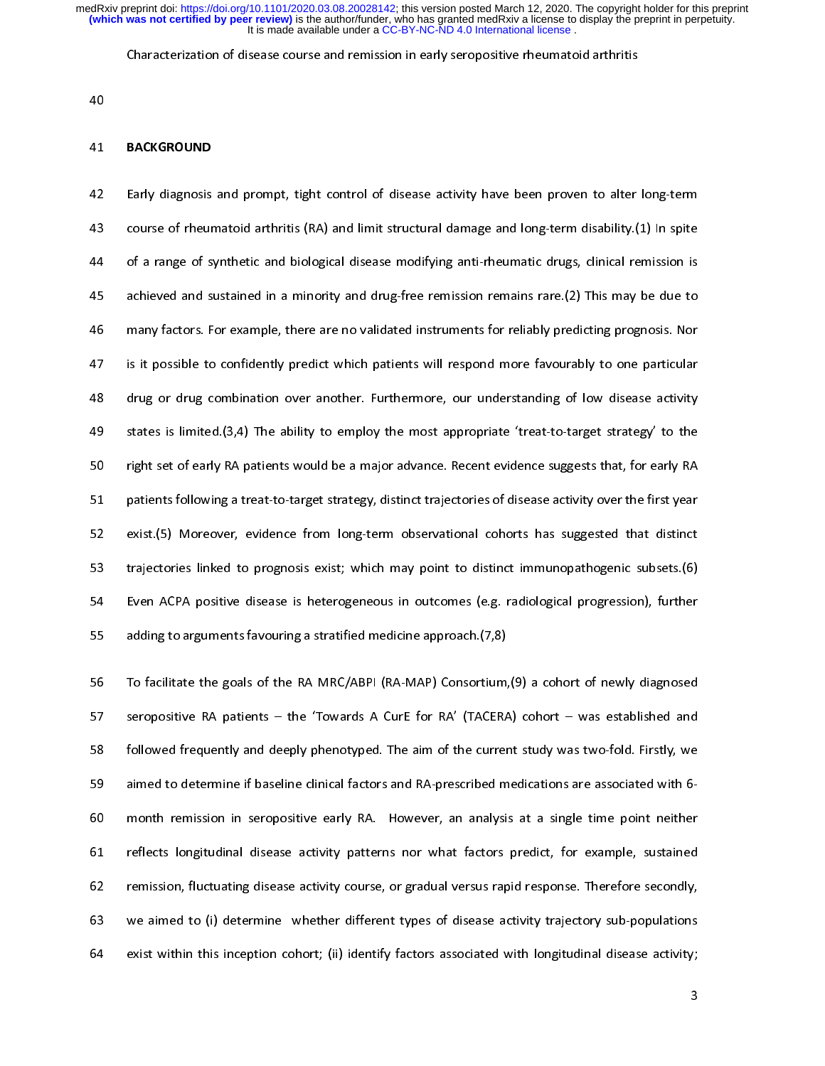Characterization of disease course and remission in early seropositive rheumatoid arthritis

40

## 41 BACKGROUND

42 Early diagnosis and prompt, tight control of disease activity have been proven to alter long-term<br>43 course of rheumatoid arthritis (RA) and limit structural damage and long-term disability.(1) In spite 44 of a range of synthetic and biological disease modifying anti-rheumatic drugs, clinical remission is 45 achieved and sustained in a minority and drug-free remission remains rare. (2) This may be due to 46 many factors. For example, there are no validated instruments for reliably predicting prognosis. Nor 47 is it possible to confidently predict which patients will respond more favourably to one particular 48 drug or drug combination over another. Furthermore, our understanding of low disease activity 49 states is limited  $(3,4)$  The ability to employ the most appropriate 'treat-to-target strategy' to the 50 right set of early RA patients would be a major advance. Recent evidence suggests that, for early RA 51 patients following a treat-to-target strategy, distinct trajectories of disease activity over the first year 52 exist. (5) Moreover, evidence from long-term observational cohorts has suggested that distinct 53 trajectories linked to prognosis exist; which may point to distinct immunopathogenic subsets.(6) 54 Even ACPA positive disease is heterogeneous in outcomes (e.g. radiological progression), further 55 adding to arguments favouring a stratified medicine approach. (7,8)  $\frac{1}{2}$  and  $\frac{1}{2}$  arguments favouring a stratified medicine approach.

56 To facilitate the goals of the RA MRC/ABPI (RA-MAP) Consortium, (9) a cohort of newly diagnosed<br>57 seropositive RA patients – the 'Towards A CurE for RA' (TACERA) cohort – was established and 58 followed frequently and deeply phenotyped. The aim of the current study was two-fold. Firstly, we 59 aimed to determine if baseline clinical factors and RA-prescribed medications are associated with 6-60 month remission in seropositive early RA. However, an analysis at a single time point neither 61 reflects longitudinal disease activity patterns nor what factors predict, for example, sustained 62 remission, fluctuating disease activity course, or gradual versus rapid response. Therefore secondly, 63 we aimed to (i) determine whether different types of disease activity trajectory sub-populations 64 exist within this inception cohort; (ii) identify factors associated with longitudinal disease activity;  $\mathbf{f}(\mathbf{f}(\mathbf{f})) = \mathbf{f}(\mathbf{f}(\mathbf{f}(\mathbf{f}(\mathbf{f}(\mathbf{f}(\mathbf{f}(\mathbf{f}(\mathbf{f}(\mathbf{f}(\mathbf{f}(\mathbf{f}(\mathbf{f}(\mathbf{f}(\mathbf{f}(\mathbf{f}(\mathbf{f}(\mathbf{f}(\mathbf{f}(\mathbf{f}(\mathbf{f}(\mathbf{f}(\mathbf{f}(\mathbf{f}(\mathbf{f}(\mathbf{f}(\mathbf{f}(\mathbf{f}(\mathbf{f}(\mathbf{f}(\mathbf{f}(\mathbf{f}(\mathbf{f}(\mathbf$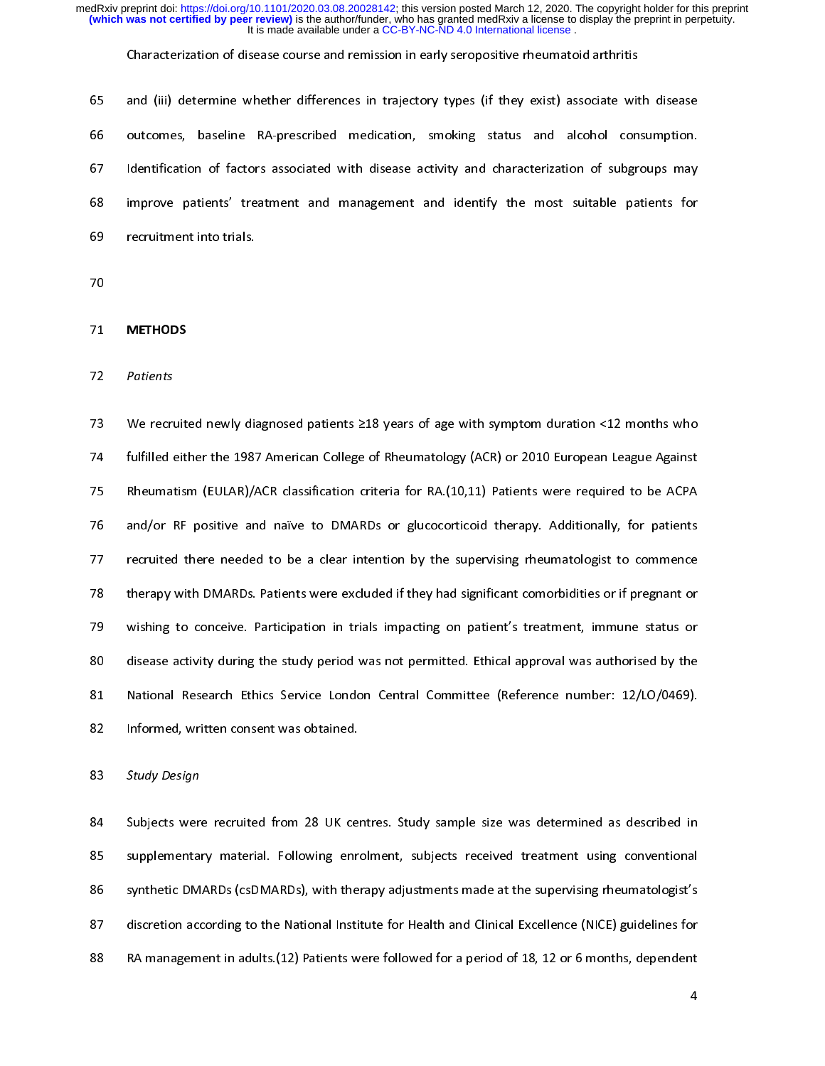Characterization of disease course and remission in early seropositive rheumatoid arthritis

65 65 and (iii) determine whether differences in trajectory types (if they exist) associate with disease<br>66 outcomes, baseline RA-prescribed medication, smoking status and alcohol consumption. 67 Identification of factors associated with disease activity and characterization of subgroups may 68 improve patients' treatment and management and identify the most suitable patients for 68 improve patients' treatment and management and identify the most suitable patients for

71 METHODS

72 Patients

73 We recruited newly diagnosed patients ≥18 years of age with symptom duration <12 months who<br>74 fulfilled either the 1987 American College of Rheumatology (ACR) or 2010 European League Against 75 Rheumatism (EULAR)/ACR classification criteria for RA.(10,11) Patients were required to be ACPA 76 and/or RF positive and naïve to DMARDs or glucocorticoid therapy. Additionally, for patients 77 recruited there needed to be a clear intention by the supervising rheumatologist to commence 78 therapy with DMARDs. Patients were excluded if they had significant comorbidities or if pregnant or 79 vishing to conceive. Participation in trials impacting on patient's treatment, immune status or 80 disease activity during the study period was not permitted. Ethical approval was authorised by the 81 National Research Ethics Service London Central Committee (Reference number: 12/LO/0469). 82 Informed, written consent was obtained.

83 Study Design

82 Informed, written consent was obtained.

84 Subjects were recruited from 28 UK centres. Study sample size was determined as described in<br>85 supplementary material. Following enrolment, subjects received treatment using conventional 86 synthetic DMARDs (csDMARDs), with therapy adjustments made at the supervising rheumatologist's 87 discretion according to the National Institute for Health and Clinical Excellence (NICE) guidelines for 88 RA management in adults (12) Patients were followed for a period of 18, 12 or 6 months, dependent  $\mathbf{A}$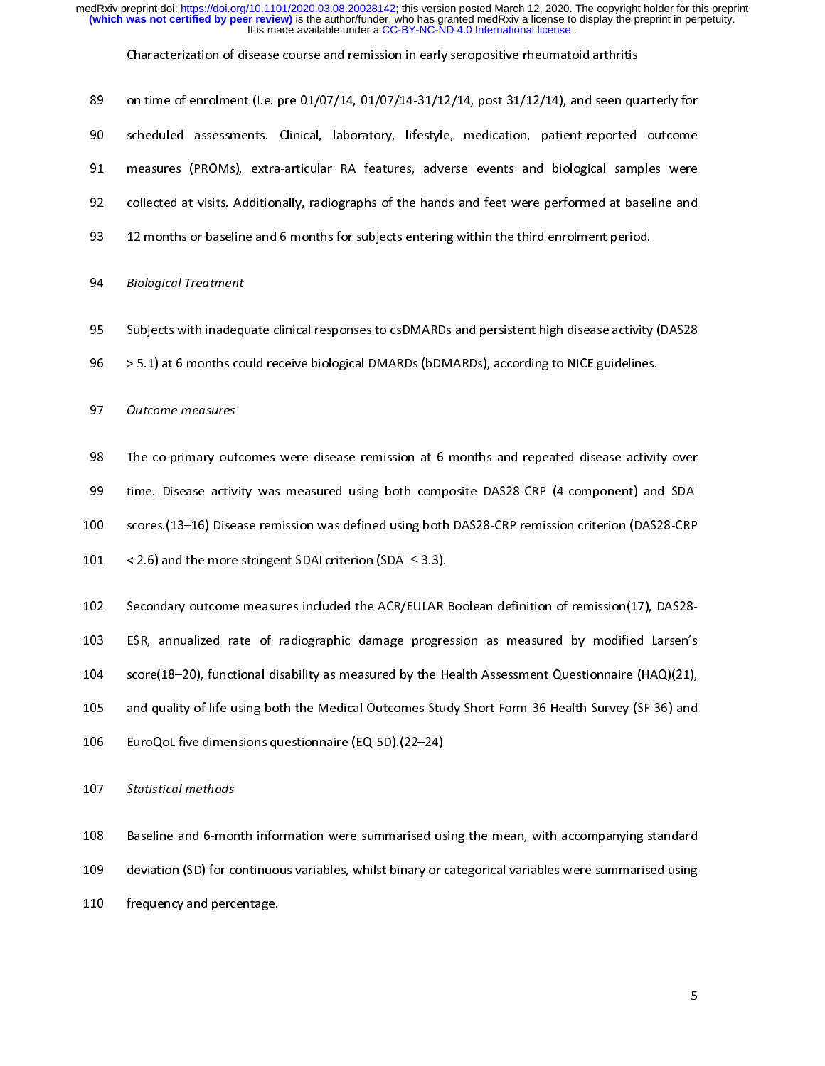| 89  | on time of enrolment (I.e. pre $01/07/14$ , $01/07/14-31/12/14$ , post $31/12/14$ ), and seen quarterly for |
|-----|-------------------------------------------------------------------------------------------------------------|
| 90  | scheduled assessments. Clinical, laboratory, lifestyle, medication, patient-reported outcome                |
| 91  | measures (PROMs), extra-articular RA features, adverse events and biological samples were                   |
| 92  | collected at visits. Additionally, radiographs of the hands and feet were performed at baseline and         |
| 93  | 12 months or baseline and 6 months for subjects entering within the third enrolment period.                 |
| 94  | <b>Biological Treatment</b>                                                                                 |
| 95  | Subjects with inadequate clinical responses to csDMARDs and persistent high disease activity (DAS28         |
| 96  | > 5.1) at 6 months could receive biological DMARDs (bDMARDs), according to NICE guidelines.                 |
| 97  | Outcome measures                                                                                            |
| 98  | The co-primary outcomes were disease remission at 6 months and repeated disease activity over               |
| 99  | time. Disease activity was measured using both composite DAS28-CRP (4-component) and SDAI                   |
| 100 | scores.(13-16) Disease remission was defined using both DAS28-CRP remission criterion (DAS28-CRP            |
| 101 | < 2.6) and the more stringent SDAI criterion (SDAI $\leq$ 3.3).                                             |
| 102 | Secondary outcome measures included the ACR/EULAR Boolean definition of remission(17), DAS28-               |
| 103 | ESR, annualized rate of radiographic damage progression as measured by modified Larsen's                    |
| 104 | score(18-20), functional disability as measured by the Health Assessment Questionnaire (HAQ)(21),           |
| 105 | and quality of life using both the Medical Outcomes Study Short Form 36 Health Survey (SF-36) and           |
| 106 | EuroQoL five dimensions questionnaire (EQ-5D).(22-24)                                                       |
| 107 | Statistical methods                                                                                         |
| 108 | Baseline and 6-month information were summarised using the mean, with accompanying standard                 |
| 109 | deviation (SD) for continuous variables, whilst binary or categorical variables were summarised using       |
| 110 | frequency and percentage.                                                                                   |
|     |                                                                                                             |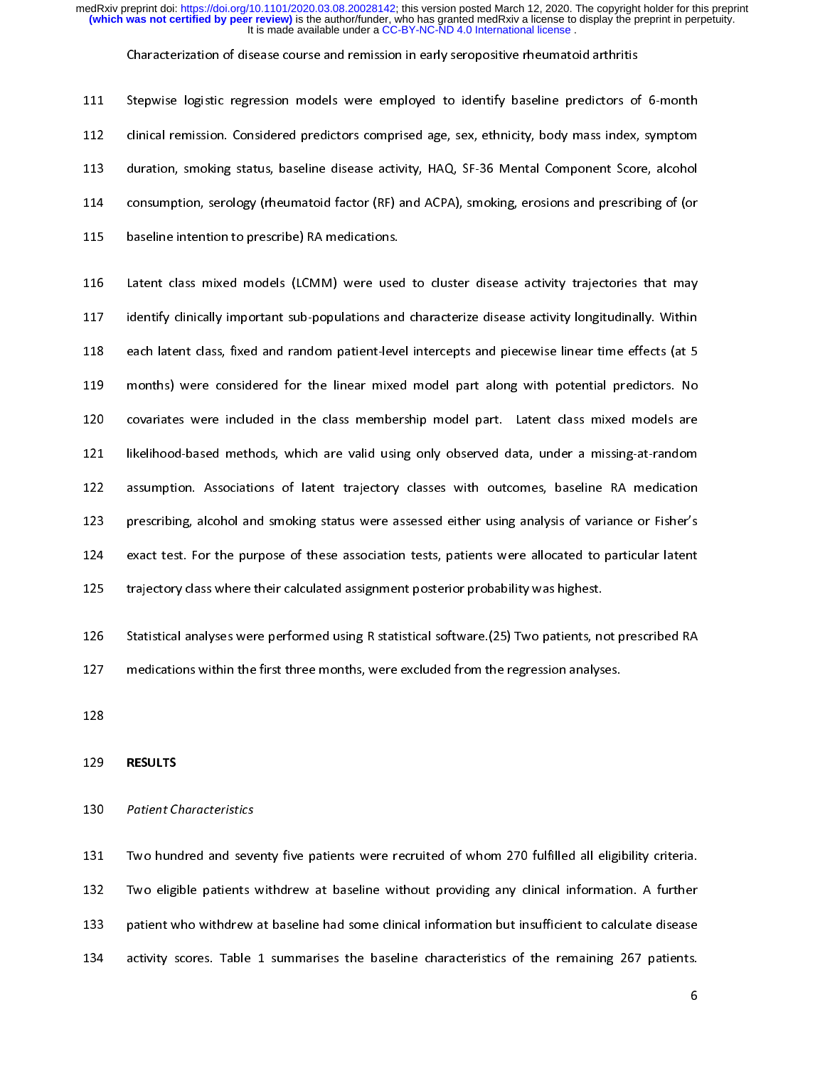Characterization of disease course and remission in early seropositive rheumatoid arthritis

111 111 Stepwise logistic regression models were employed to identify baseline predictors of 6-month<br>112 clinical remission. Considered predictors comprised age, sex, ethnicity, body mass index, symptom 113 duration, smoking status, baseline disease activity, HAQ, SF-36 Mental Component Score, alcohol 114 consumption, serology (rheumatoid factor (RF) and ACPA), smoking, erosions and prescribing of (or 115 baseline intention to prescribe) RA medications. 115 baseline intention to prescribe) RA medications.

116 Latent class mixed models (LCMM) were used to cluster disease activity trajectories that may<br>117 identify clinically important sub-populations and characterize disease activity longitudinally. Within 118 each latent class, fixed and random patient-level intercepts and piecewise linear time effects (at 5 119 months) were considered for the linear mixed model part along with potential predictors. No 120 covariates were included in the class membership model part. Latent class mixed models are 121 likelihood-based methods, which are valid using only observed data, under a missing-at-random 122 assumption. Associations of latent trajectory classes with outcomes, baseline RA medication 123 prescribing, alcohol and smoking status were assessed either using analysis of variance or Fisher's 124 exact test. For the purpose of these association tests, patients were allocated to particular latent 125 trajectory class where their calculated assignment posterior probability was highest. 125 trajectory class where their calculated assignment posterior probability was highest.

126 Statistical analyses were performed using R statistical software.(25) Two patients, not prescribed RA<br>127 medications within the first three months, were excluded from the regression analyses.

127 medications within the first three months, were excluded from the regression analyses.

## 129 RESULTS

### 130 Patient Characteristics

131 Two hundred and seventy five patients were recruited of whom 270 fulfilled all eligibility criteria.<br>132 Two eligible patients withdrew at baseline without providing any clinical information. A further 133 patient who withdrew at baseline had some clinical information but insufficient to calculate disease 134 activity scores. Table 1 summarises the baseline characteristics of the remaining 267 patients.

134 activity scores. Table 1 summarises the baseline characteristics of the remaining 267 patients.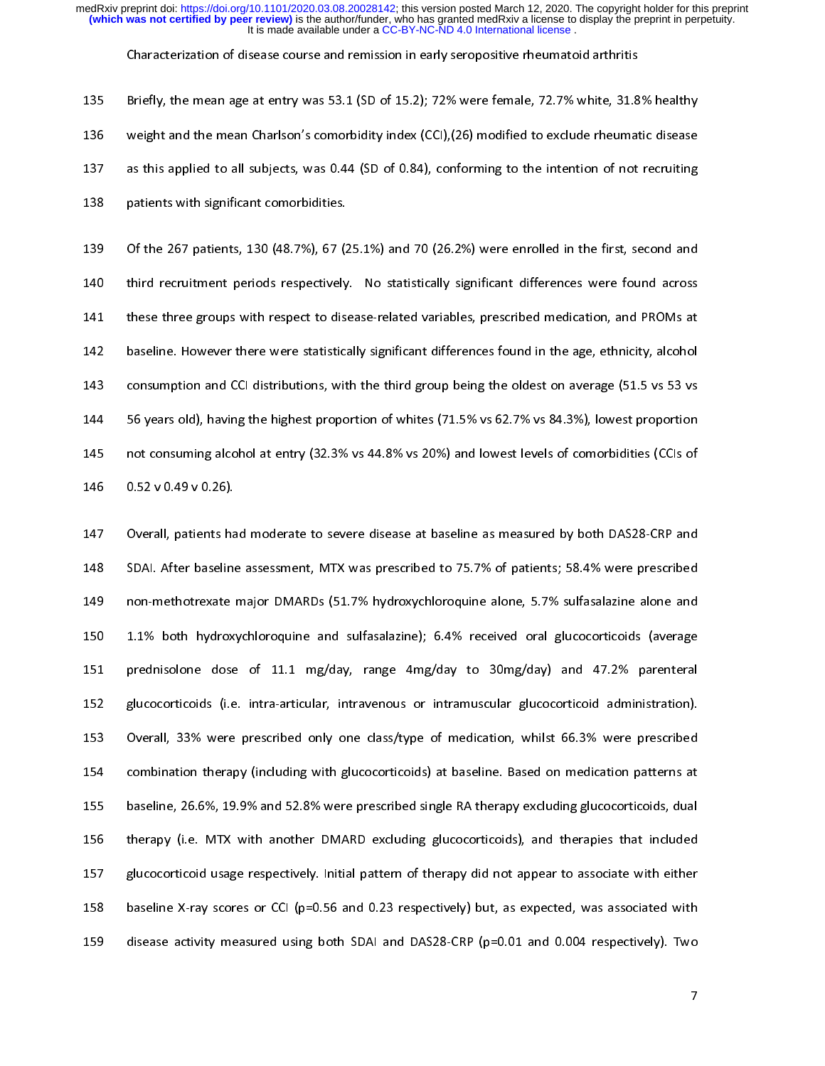Characterization of disease course and remission in early seropositive rheumatoid arthritis

135 135 Briefly, the mean age at entry was 53.1 (SD of 15.2); 72% were female, 72.7% white, 31.8% healthy<br>136 weight and the mean Charlson's comorbidity index (CCI), (26) modified to exclude rheumatic disease 137 as this applied to all subjects, was 0.44 (SD of 0.84), conforming to the intention of not recruiting 138 patients with significant comorbidities. 138 patients with significant comorbidities.

139 Of the 267 patients, 130 (48.7%), 67 (25.1%) and 70 (26.2%) were enrolled in the first, second and<br>140 third recruitment periods respectively. No statistically significant differences were found across 141 these three groups with respect to disease-related variables, prescribed medication, and PROMs at 142 baseline. However there were statistically significant differences found in the age, ethnicity, alcohol 143 consumption and CCI distributions, with the third group being the oldest on average (51.5 vs 53 vs 144 56 years old), having the highest proportion of whites (71.5% vs 62.7% vs 84.3%), lowest proportion 145 not consuming alcohol at entry (32.3% vs 44.8% vs 20%) and lowest levels of comorbidities (CCIs of  $146$  not consume alcohol at entry (32.33% vs 20.3% vs 20.3% vs 20.3% vs 20.3% vs 20.3% vs 20.3% vs 20.3% vs 20.3% vs 20.3% vs 20.3% vs 20.3% vs 20.3% vs 20.3% vs 20.3% vs 20.3% vs 20.3% vs 20.3% vs 20.3% vs 20.3% vs 20.3 146 *- 146 v 0.49 v 0.49 v* 0.49 v 0.49 v 0.49 v 0.49 v 0.49 v 0.49 v 0.49 v 0.49 v 0.49 v 0.49 v 0.49 v 0.49 v 0.49 v 0.49 v 0.49 v 0.49 v 0.49 v 0.49 v 0.49 v 0.49 v 0.49 v 0.49 v 0.49 v 0.49 v 0.49 v 0.49 v 0.49 v 0.49

147 Overall, patients had moderate to severe disease at baseline as measured by both DAS28-CRP and<br>148 SDAI. After baseline assessment, MTX was prescribed to 75.7% of patients; 58.4% were prescribed 149 non-methotrexate major DMARDs (51.7% hydroxychloroquine alone, 5.7% sulfasalazine alone and 150 1.1% both hydroxychloroquine and sulfasalazine); 6.4% received oral glucocorticoids (average 151 prednisolone dose of 11.1 mg/day, range 4mg/day to 30mg/day) and 47.2% parenteral 152 glucocorticoids (i.e. intra-articular, intravenous or intramuscular glucocorticoid administration). 153 Overall, 33% were prescribed only one class/type of medication, whilst 66.3% were prescribed 154 combination therapy (including with glucocorticoids) at baseline. Based on medication patterns at 155 baseline, 26.6%, 19.9% and 52.8% were prescribed single RA therapy excluding glucocorticoids, dual 156 therapy (i.e. MTX with another DMARD excluding glucocorticoids), and therapies that included 157 glucocorticoid usage respectively. Initial pattern of therapy did not appear to associate with either 158 baseline X-ray scores or CCI (p=0.56 and 0.23 respectively) but, as expected, was associated with 159 disease activity measured using both SDAI and DAS28-CRP (p=0.01 and 0.004 respectively). Two

159 disease activity measured using both SDAI and DAS28-CRP (p=0.01 and 0.004 respectively). Two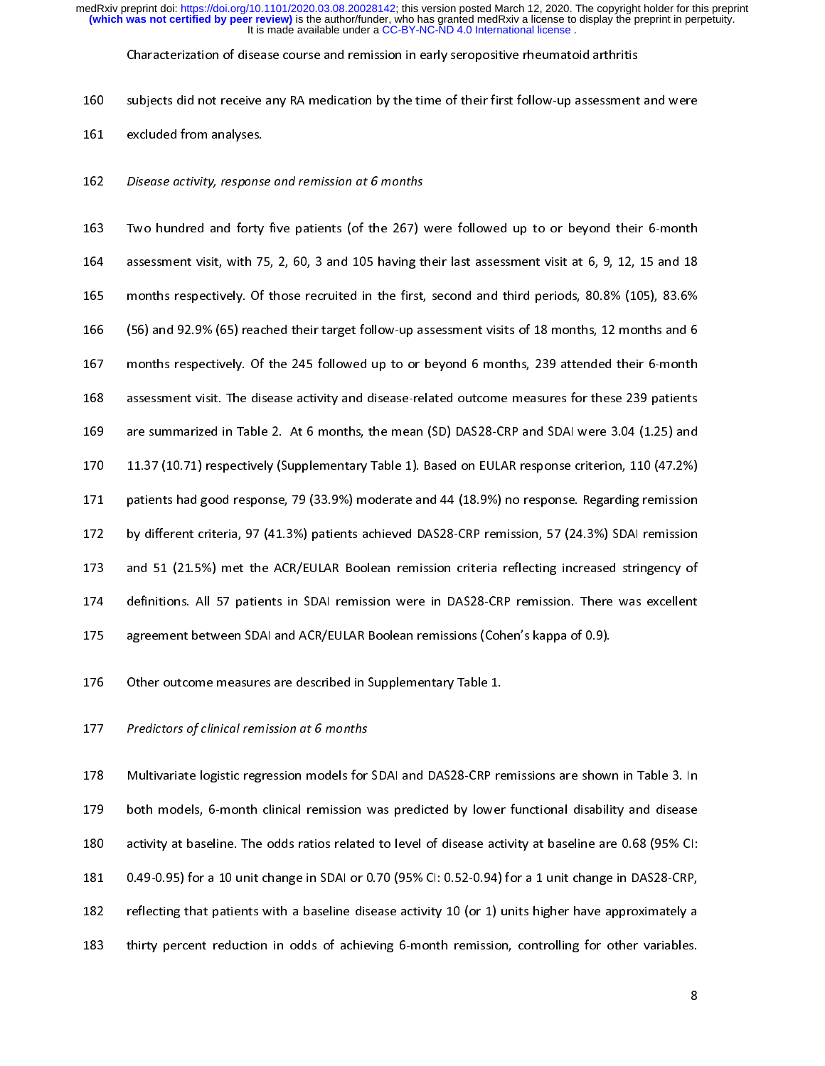Characterization of disease course and remission in early seropositive rheumatoid arthritis

160

- $161 \qquad {\rm excluded \ from \ analyses.}$ 161 excluded from analyses.
- 162 Disease activity, response and remission at 6 months

163 Two hundred and forty five patients (of the 267) were followed up to or beyond their 6-month<br>164 assessment visit, with 75, 2, 60, 3 and 105 having their last assessment visit at 6, 9, 12, 15 and 18 165 months respectively. Of those recruited in the first, second and third periods, 80.8% (105), 83.6% 166 (56) and 92.9% (65) reached their target follow-up assessment visits of 18 months, 12 months and 6 167 months respectively. Of the 245 followed up to or beyond 6 months, 239 attended their 6-month 168 assessment visit. The disease activity and disease-related outcome measures for these 239 patients 169 are summarized in Table 2. At 6 months, the mean (SD) DAS28-CRP and SDAI were 3.04 (1.25) and 170 11.37 (10.71) respectively (Supplementary Table 1). Based on EULAR response criterion, 110 (47.2%) 171 patients had good response, 79 (33.9%) moderate and 44 (18.9%) no response. Regarding remission 172 by different criteria, 97 (41.3%) patients achieved DAS28-CRP remission, 57 (24.3%) SDAI remission 173 and 51 (21.5%) met the ACR/EULAR Boolean remission criteria reflecting increased stringency of 174 definitions. All 57 patients in SDAI remission were in DAS28-CRP remission. There was excellent 175 agreement between SDAI and ACR/EULAR Boolean remissions (Cohen's kappa of 0.9). 175 agreement between SDAI and ACR/EULAR Books (Cohen's kappa of 0.9).<br>175 agreement between remissions (Cohen-state cohen remissions (Cohen-state cohen remissions (Cohen-state coh

176 Other outcome measures are described in Supplementary Table 1.<br>176 Other outcome measures are described in Supplementary Table 1.

## 177 Predictors of clinical remission at 6 months

178 Multivariate logistic regression models for SDAI and DAS28-CRP remissions are shown in Table 3. In<br>179 both models, 6-month clinical remission was predicted by lower functional disability and disease 180 activity at baseline. The odds ratios related to level of disease activity at baseline are 0.68 (95% CI: 181 0.49-0.95) for a 10 unit change in SDAI or 0.70 (95% CI: 0.52-0.94) for a 1 unit change in DAS28-CRP, 182 reflecting that patients with a baseline disease activity 10 (or 1) units higher have approximately a 183 thirty percent reduction in odds of achieving 6-month remission, controlling for other variables.

183 thirty percent reduction in odds of achieving 6-month remission, controlling for other variables.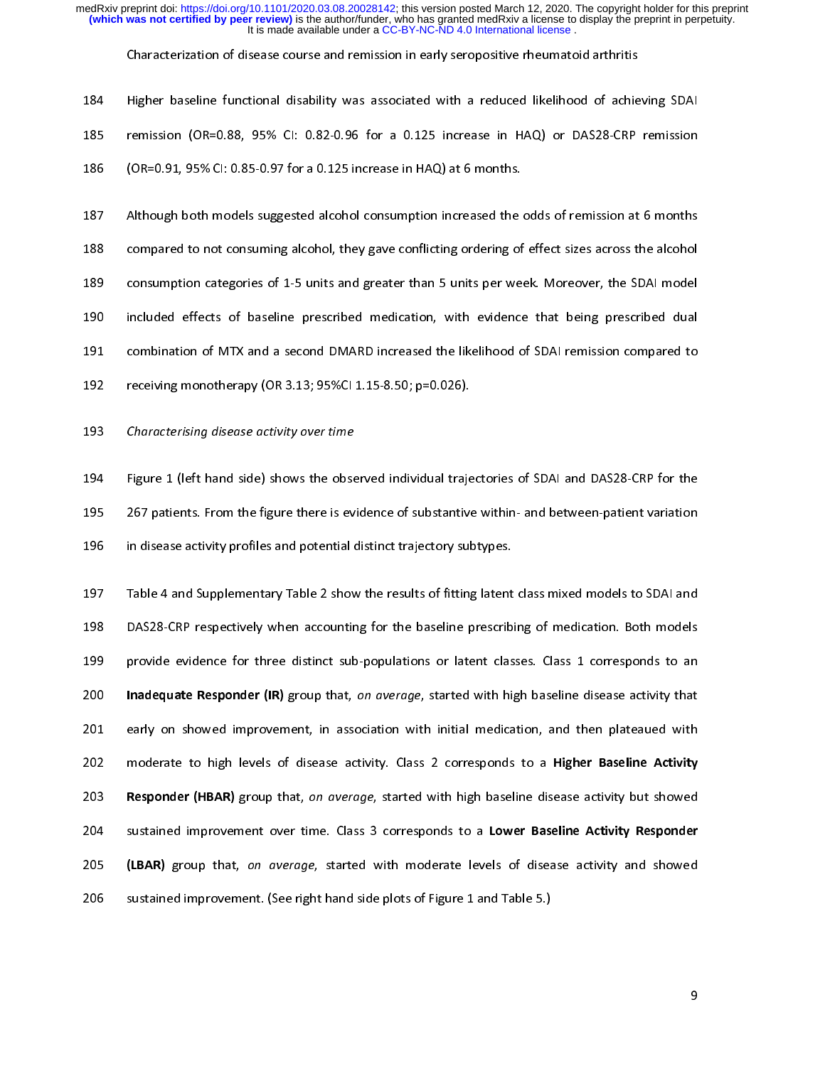Characterization of disease course and remission in early seropositive rheumatoid arthritis

| 184. | Higher baseline functional disability was associated with a reduced likelihood of achieving SDAI |
|------|--------------------------------------------------------------------------------------------------|
| 185  | remission (OR=0.88, 95% CI: 0.82-0.96 for a 0.125 increase in HAQ) or DAS28-CRP remission        |
| 186. | (OR=0.91, 95% CI: 0.85-0.97 for a 0.125 increase in HAQ) at 6 months.                            |

186 (OR=0.9) circuit de la circuit de la circuit de la circuit de la circuit de la circuit de la circuit de la<br>.

187 Although both models suggested alcohol consumption increased the odds of remission at 6 months<br>188 compared to not consuming alcohol, they gave conflicting ordering of effect sizes across the alcohol 189 consumption categories of 1-5 units and greater than 5 units per week. Moreover, the SDAI model 190 included effects of baseline prescribed medication, with evidence that being prescribed dual 191 combination of MTX and a second DMARD increased the likelihood of SDAI remission compared to 192 receiving monotherapy (OR 3.13; 95%CI 1.15-8.50; p=0.026).  $192$  receiving monotherapy (OR 3.13; 95%CI 1.15- $\mu$  1.15- $\mu$ ).

193 Characterising disease activity over time

194 Figure 1 (left hand side) shows the observed individual trajectories of SDAI and DAS28-CRP for the<br>195 267 patients. From the figure there is evidence of substantive within- and between-patient variation 196 in disease activity profiles and potential distinct trajectory subtypes. 196 in disease activity profiles and potential distinct trajectory subtypes.

197 Table 4 and Supplementary Table 2 show the results of fitting latent class mixed models to SDAI and<br>198 DAS28-CRP respectively when accounting for the baseline prescribing of medication. Both models 199 provide evidence for three distinct sub-populations or latent classes. Class 1 corresponds to an 200 Inadequate Responder (IR) group that, on average, started with high baseline disease activity that 201 early on showed improvement, in association with initial medication, and then plateaued with 202 moderate to high levels of disease activity. Class 2 corresponds to a Higher Baseline Activity 203 Responder (HBAR) group that, on average, started with high baseline disease activity but showed 204 sustained improvement over time. Class 3 corresponds to a Lower Baseline Activity Responder 205 (LBAR) group that, on average, started with moderate levels of disease activity and showed 206 sustained improvement. (See right hand side plots of Figure 1 and Table 5.) 206 sustained improvement. (See right hand side plots of Figure 1 and Table 5.)

9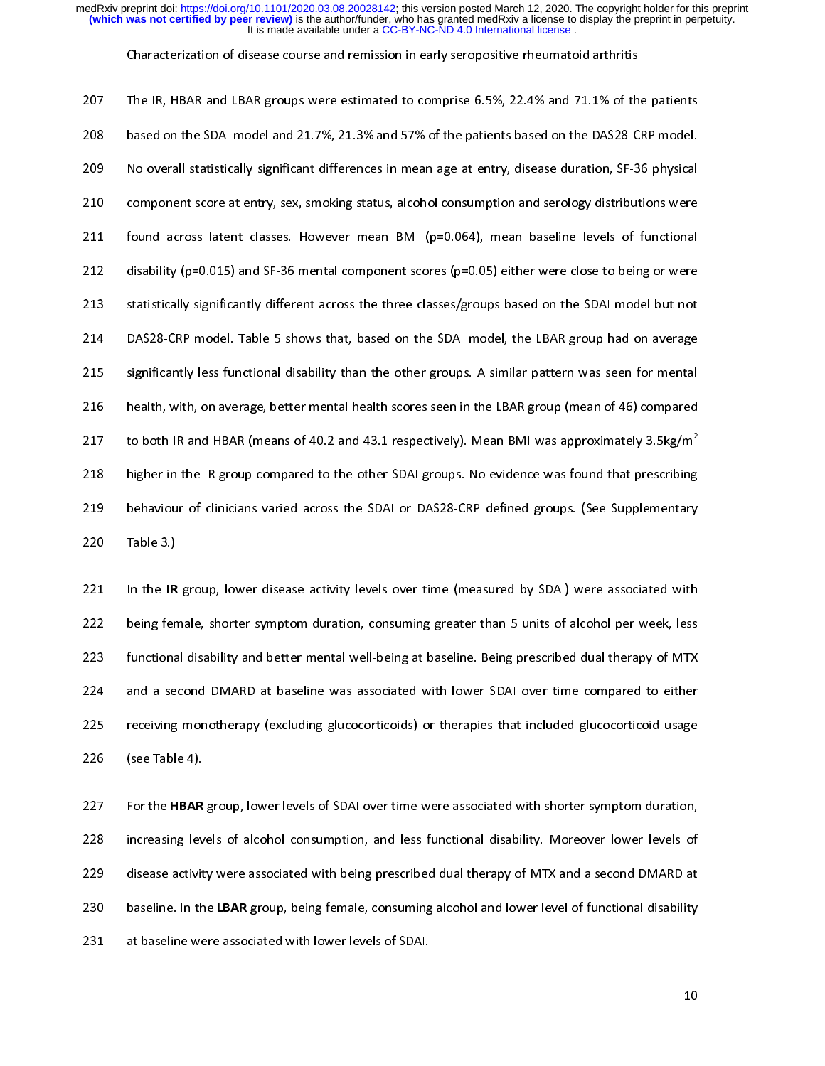Characterization of disease course and remission in early seropositive rheumatoid arthritis

207 207 The IR, HBAR and LBAR groups were estimated to comprise 6.5%, 22.4% and 71.1% of the patients<br>208 based on the SDAI model and 21.7%, 21.3% and 57% of the patients based on the DAS28-CRP model. 209 No overall statistically significant differences in mean age at entry, disease duration, SF-36 physical 210 component score at entry, sex, smoking status, alcohol consumption and serology distributions were 211 found across latent classes. However mean BMI (p=0.064), mean baseline levels of functional 212 disability (p=0.015) and SF-36 mental component scores (p=0.05) either were close to being or were 213 statistically significantly different across the three classes/groups based on the SDAI model but not 214 DAS28-CRP model. Table 5 shows that, based on the SDAI model, the LBAR group had on average 215 significantly less functional disability than the other groups. A similar pattern was seen for mental 216 health, with, on average, better mental health scores seen in the LBAR group (mean of 46) compared 217 to both IR and HBAR (means of 40.2 and 43.1 respectively). Mean BMI was approximately 3.5kg/m<sup>2</sup> 218 higher in the IR group compared to the other SDAI groups. No evidence was found that prescribing 219 behaviour of clinicians varied across the SDAI or DAS28-CRP defined groups. (See Supplementary end across the SDAI or DAI or DAI or DAI or DAI or DAI or DAI or DAI or DAI or DAI or DAI or DAI or DAI or DAI<br>220 CRP defined groups. (See Supplementary see Supplementary see Supplementary see Supplementary see Supplemen

221 In the IR group, lower disease activity levels over time (measured by SDAI) were associated with<br>222 being female, shorter symptom duration, consuming greater than 5 units of alcohol per week, less 223 functional disability and better mental well-being at baseline. Being prescribed dual therapy of MTX 224 and a second DMARD at baseline was associated with lower SDAI over time compared to either 225 receiving monotherapy (excluding glucocorticoids) or therapies that included glucocorticoid usage excluding monotherapy (excluding glucocorticoids) or therapies that included glucocorticoids) or therapies that included glucocorticoids) or therapies that included glucocorticoids included glucocorticoid usage glucocortic 226 (see Table 4).

220 Table 3.)

227 For the HBAR group, lower levels of SDAI over time were associated with shorter symptom duration,<br>228 increasing levels of alcohol consumption, and less functional disability. Moreover lower levels of 229 disease activity were associated with being prescribed dual therapy of MTX and a second DMARD at 230 baseline. In the LBAR group, being female, consuming alcohol and lower level of functional disability 231 at baseline were associated with lower levels of SDAI.

10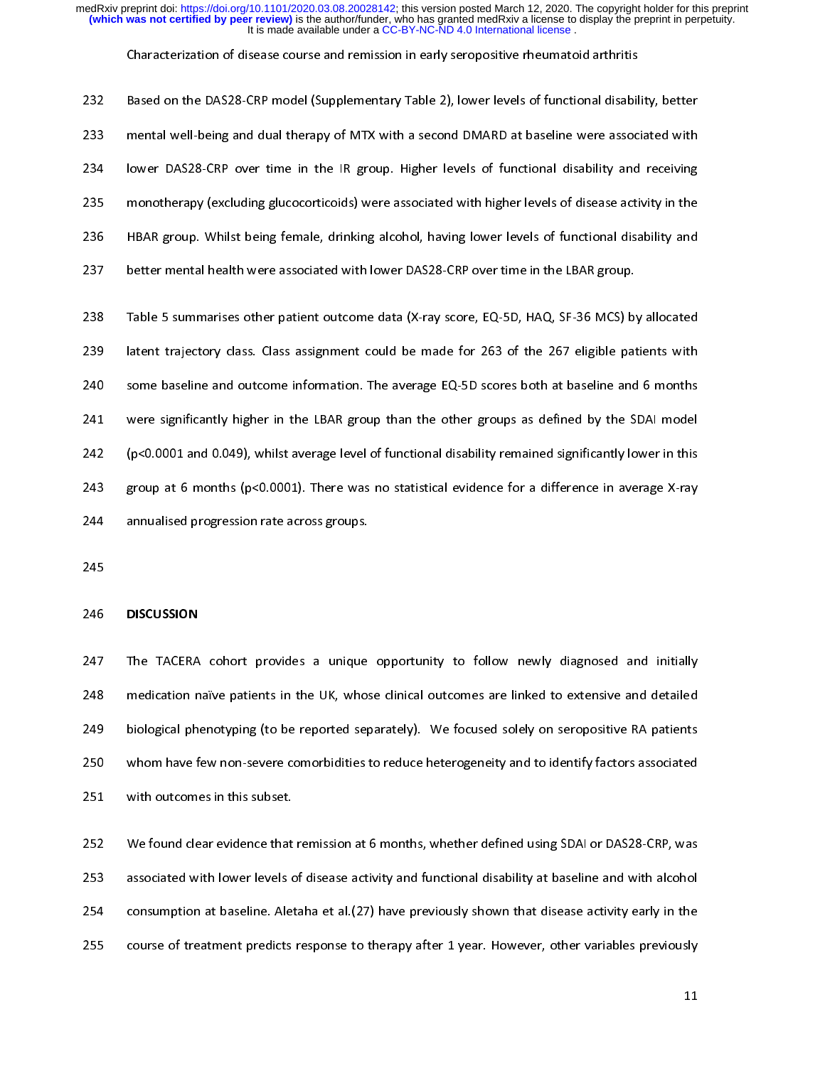Characterization of disease course and remission in early seropositive rheumatoid arthritis

232 232 Based on the DAS28-CRP model (Supplementary Table 2), lower levels of functional disability, better<br>233 mental well-being and dual therapy of MTX with a second DMARD at baseline were associated with 234 lower DAS28-CRP over time in the IR group. Higher levels of functional disability and receiving 235 monotherapy (excluding glucocorticoids) were associated with higher levels of disease activity in the 236 HBAR group. Whilst being female, drinking alcohol, having lower levels of functional disability and 237 better mental health were associated with lower DAS28-CRP over time in the LBAR group. 237 better mental health were associated with lower DAS28-CRP over time in the LBAR group.

238 Table 5 summarises other patient outcome data (X-ray score, EQ-5D, HAQ, SF-36 MCS) by allocated<br>239 Iatent trajectory class. Class assignment could be made for 263 of the 267 eligible patients with 240 some baseline and outcome information. The average EQ-5D scores both at baseline and 6 months 241 were significantly higher in the LBAR group than the other groups as defined by the SDAI model 242 (p<0.0001 and 0.049), whilst average level of functional disability remained significantly lower in this 243 group at 6 months (p<0.0001). There was no statistical evidence for a difference in average X-ray 244 annualised progression rate across groups. 244 annualised progression rate across groups.

### 246 DISCUSSION

247 The TACERA cohort provides a unique opportunity to follow newly diagnosed and initially<br>248 medication naïve patients in the UK, whose clinical outcomes are linked to extensive and detailed 249 biological phenotyping (to be reported separately). We focused solely on seropositive RA patients 250 whom have few non-severe comorbidities to reduce heterogeneity and to identify factors associated 251 whom have few non-severe comorbidities to reduce hererogeneity and to identify factors associated.<br>251 with outcomes in this subset.

252 We found clear evidence that remission at 6 months, whether defined using SDAI or DAS28-CRP, was<br>253 associated with lower levels of disease activity and functional disability at baseline and with alcohol 254 consumption at baseline. Aletaha et al. (27) have previously shown that disease activity early in the 255 course of treatment predicts response to therapy after 1 year. However, other variables previously 255 course of treatment predicts response to therapy after 1 year. However, other variables previously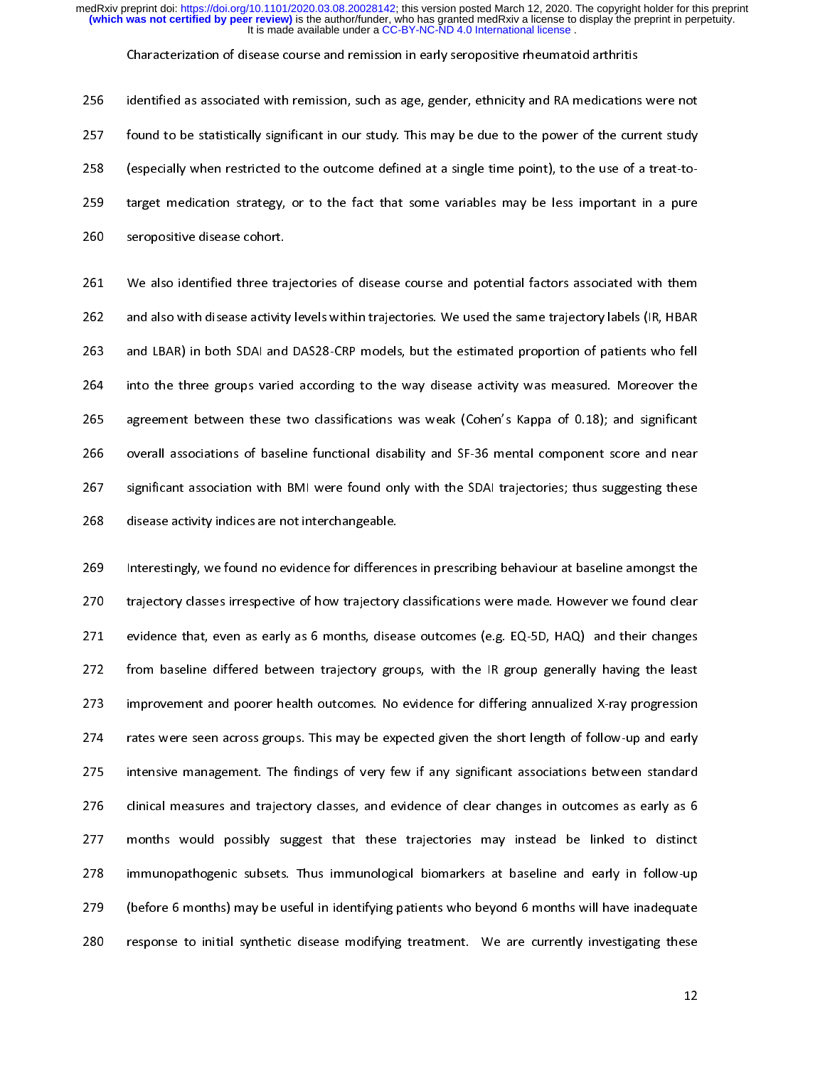Characterization of disease course and remission in early seropositive rheumatoid arthritis

256 256 identified as associated with remission, such as age, gender, ethnicity and RA medications were not<br>257 found to be statistically significant in our study. This may be due to the power of the current study 258 (especially when restricted to the outcome defined at a single time point), to the use of a treat-to-259 target medication strategy, or to the fact that some variables may be less important in a pure 259 target medication strategy, or to the fact that some variables may be less important in a pure 260 seropositive disease cohort.

261 We also identified three trajectories of disease course and potential factors associated with them<br>262 and also with disease activity levels within trajectories. We used the same trajectory labels (IR, HBAR 263 and LBAR) in both SDAI and DAS28-CRP models, but the estimated proportion of patients who fell 264 into the three groups varied according to the way disease activity was measured. Moreover the 265 agreement between these two classifications was weak (Cohen's Kappa of 0.18); and significant 266 overall associations of baseline functional disability and SF-36 mental component score and near 267 significant association with BMI were found only with the SDAI trajectories; thus suggesting these 268 disease activity indices are not interchangeable. 268 disease activity indices are not interchangeable.

269 Interestingly, we found no evidence for differences in prescribing behaviour at baseline amongst the<br>270 Itrajectory classes irrespective of how trajectory classifications were made. However we found clear 271 evidence that, even as early as 6 months, disease outcomes (e.g. EQ-5D, HAQ) and their changes 272 from baseline differed between trajectory groups, with the IR group generally having the least 273 improvement and poorer health outcomes. No evidence for differing annualized X-ray progression 274 rates were seen across groups. This may be expected given the short length of follow-up and early 275 intensive management. The findings of very few if any significant associations between standard 276 clinical measures and trajectory classes, and evidence of clear changes in outcomes as early as 6 277 months would possibly suggest that these trajectories may instead be linked to distinct 278 immunopathogenic subsets. Thus immunological biomarkers at baseline and early in follow-up 279 (before 6 months) may be useful in identifying patients who beyond 6 months will have inadequate 280 response to initial synthetic disease modifying treatment. We are currently investigating these 280 response to initial synthetic disease modifying treatment. We are currently investigating these

 $12<sup>2</sup>$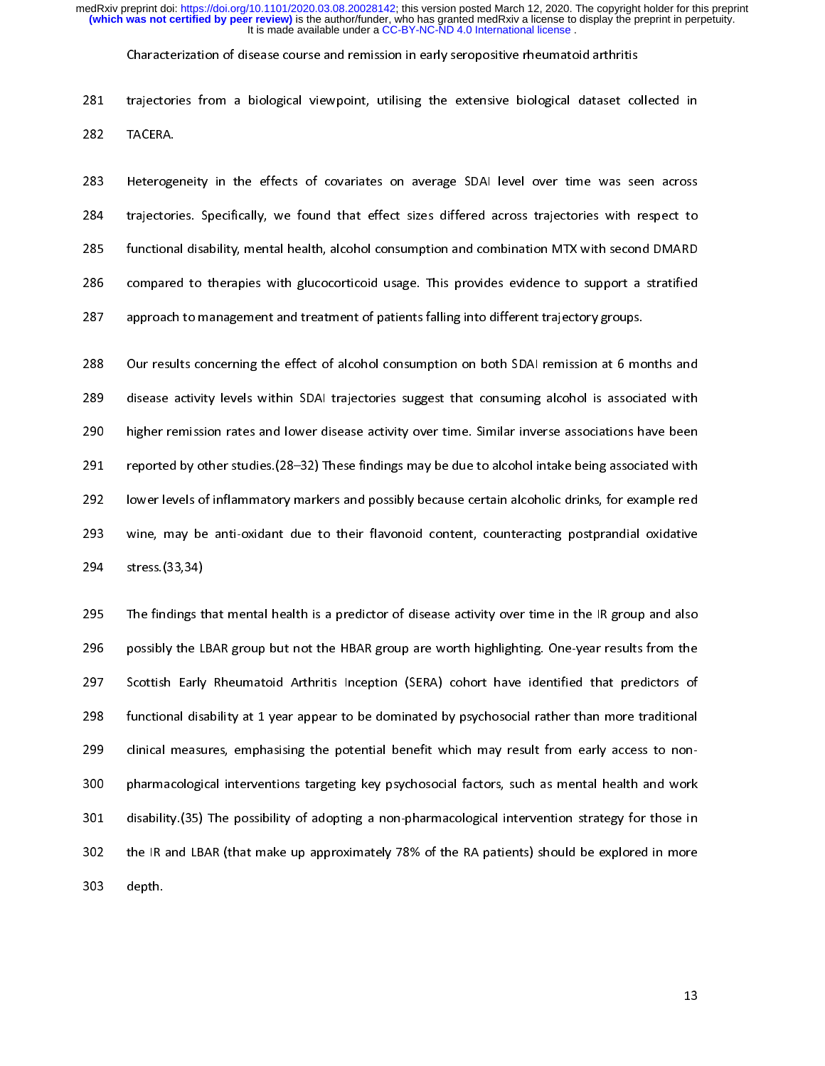Characterization of disease course and remission in early seropositive rheumatoid arthritis

281 extensive from a biological viewpoint, utilising the extensive biological dataset collected in the extensive biological dataset collected in the extensive biological dataset collected in the extensive biological dataset co

283 Heterogeneity in the effects of covariates on average SDAI level over time was seen across<br>284 - trajectories. Specifically, we found that effect sizes differed across trajectories with respect to 285 functional disability, mental health, alcohol consumption and combination MTX with second DMARD 286 compared to therapies with glucocorticoid usage. This provides evidence to support a stratified 287 approach to management and treatment of patients falling into different trajectory groups. 287 approach to management and treatment of patients falling into different trajectory groups.

288 Our results concerning the effect of alcohol consumption on both SDAI remission at 6 months and<br>289 disease activity levels within SDAI trajectories suggest that consuming alcohol is associated with 290 higher remission rates and lower disease activity over time. Similar inverse associations have been 291 reported by other studies (28-32) These findings may be due to alcohol intake being associated with 292 lower levels of inflammatory markers and possibly because certain alcoholic drinks, for example red 293 vine, may be anti-oxidant due to their flavonoid content, counteracting postprandial oxidative  $294$  stress. (33,34) windows and due to their flavonoid content, content, content, content, content, counteraction postprandial oxidative postprandial oxidative postprandial oxidative postprandial oxidative postprandial 294 stress.(33,34)

295 The findings that mental health is a predictor of disease activity over time in the IR group and also<br>296 possibly the LBAR group but not the HBAR group are worth highlighting. One-year results from the 297 Scottish Early Rheumatoid Arthritis Inception (SERA) cohort have identified that predictors of 298 functional disability at 1 year appear to be dominated by psychosocial rather than more traditional 299 clinical measures, emphasising the potential benefit which may result from early access to non-300 pharmacological interventions targeting key psychosocial factors, such as mental health and work 301 disability. (35) The possibility of adopting a non-pharmacological intervention strategy for those in 302 the IR and LBAR (that make up approximately 78% of the RA patients) should be explored in more and LBAR (that make up approximately 78% of the RA patients) should be explored in more discussed in more discussed in more discussed in more discussed in more discussed in more discussed in more discussed in more discusse 303 depth.

13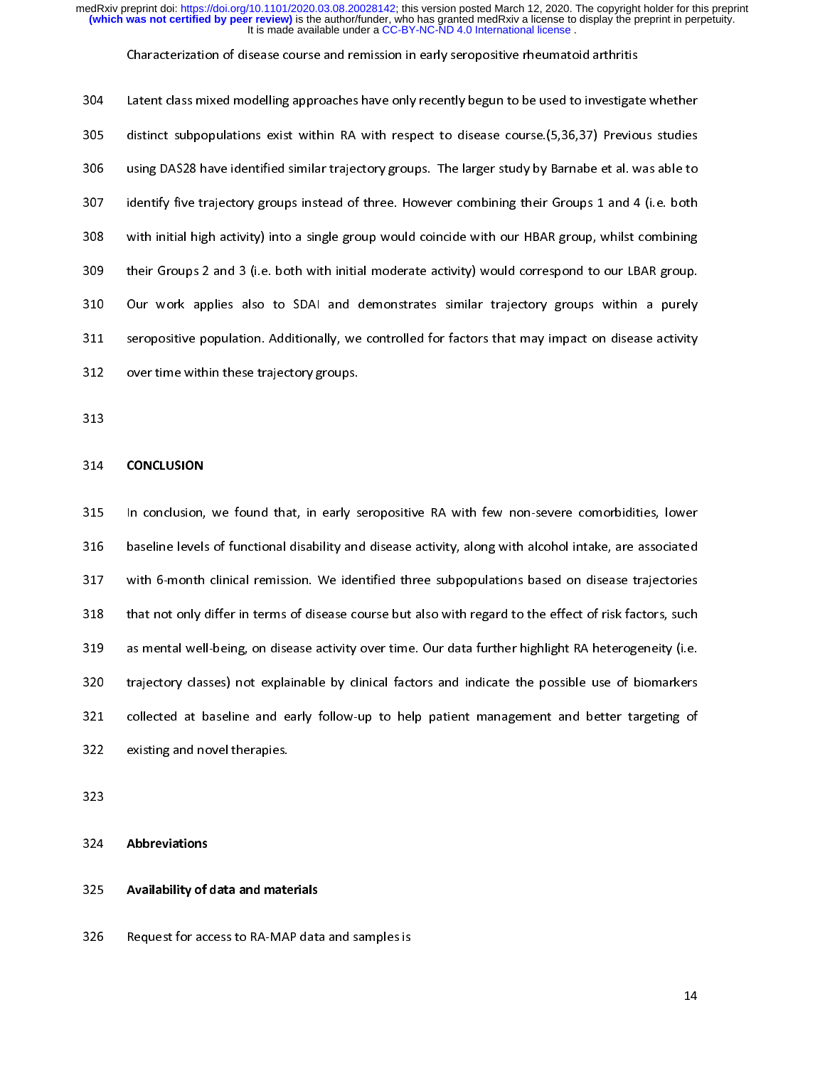### Characterization of disease course and remission in early seropositive rheumatoid arthritis

| 304 | Latent class mixed modelling approaches have only recently begun to be used to investigate whether    |
|-----|-------------------------------------------------------------------------------------------------------|
| 305 | distinct subpopulations exist within RA with respect to disease course. (5,36,37) Previous studies    |
| 306 | using DAS28 have identified similar trajectory groups. The larger study by Barnabe et al. was able to |
| 307 | identify five trajectory groups instead of three. However combining their Groups 1 and 4 (i.e. both   |
| 308 | with initial high activity) into a single group would coincide with our HBAR group, whilst combining  |
| 309 | their Groups 2 and 3 (i.e. both with initial moderate activity) would correspond to our LBAR group.   |
| 310 | Our work applies also to SDAI and demonstrates similar trajectory groups within a purely              |
| 311 | seropositive population. Additionally, we controlled for factors that may impact on disease activity  |
| 312 | over time within these trajectory groups.                                                             |
|     |                                                                                                       |

### 314 CONCLUSION

315 In conclusion, we found that, in early seropositive RA with few non-severe comorbidities, lower<br>316 baseline levels of functional disability and disease activity, along with alcohol intake, are associated 317 with 6-month clinical remission. We identified three subpopulations based on disease trajectories 318 that not only differ in terms of disease course but also with regard to the effect of risk factors, such 319 as mental well-being, on disease activity over time. Our data further highlight RA heterogeneity (i.e. 320 trajectory classes) not explainable by clinical factors and indicate the possible use of biomarkers 321 collected at baseline and early follow-up to help patient management and better targeting of 322 existing and novel therapies.<br>322 existing and novel therapies.

324 Abbreviations

### 325 Availability of data and materials

322 existing and novel therapies.

326 Request for access to RA-MAP data and samples is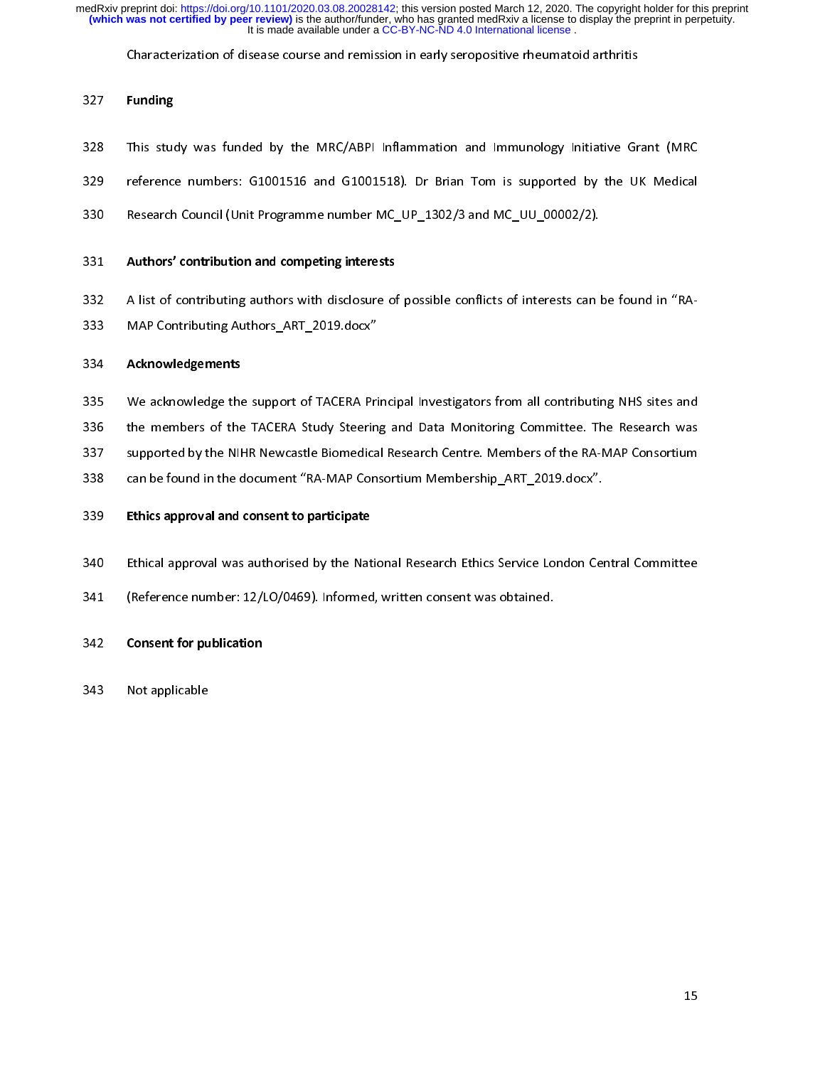Characterization of disease course and remission in early seropositive rheumatoid arthritis

# 327 Funding

- 328 This study was funded by the MRC/ABPI Inflammation and Immunology Initiative Grant (MRC<br>329 Feference numbers: G1001516 and G1001518). Dr Brian Tom is supported by the UK Medical
- 
- 330 Research Council (Unit Programme number MC\_UP\_1302/3 and MC\_UU\_00002/2). 330 Research Council (Unit Programme number MC\_UP\_1302/3 and MC\_UU\_00002/2).

- 331 Authors' contribution and competing interests<br>332 A list of contributing authors with disclosure of possible conflicts of interests can be found in "RA-
- 333 MAP Contributing Authors\_ART\_2019.docx"<br>334 Machine conflictions of possible conflicts of possible can be found in the found in the found in the found in the found in the found in the found in the found in the found in

- 334 **Acknowledgements**<br>335 We acknowledge the support of TACERA Principal Investigators from all contributing NHS sites and
- 336 the members of the TACERA Study Steering and Data Monitoring Committee. The Research was
- 337 supported by the NIHR Newcastle Biomedical Research Centre. Members of the RA-MAP Consortium
- 338 can be found in the document "RA-MAP Consortium Membership ART 2019.docx".
- 339 can be found in the document of the map consortium Membership\_ART\_2019.document<br>339 can be filted and consorting memberships and consorting the membership of the membership of the membership 339 Ethics approval and consent to participate
- 340 Ethical approval was authorised by the National Research Ethics Service London Central Committee<br>341 (Reference number: 12/LO/0469). Informed, written consent was obtained.
- 341 (Reference number: 12/LO/0469). Informed, written consent was obtained.
- 342 Consent for publication
- 343 Not applicable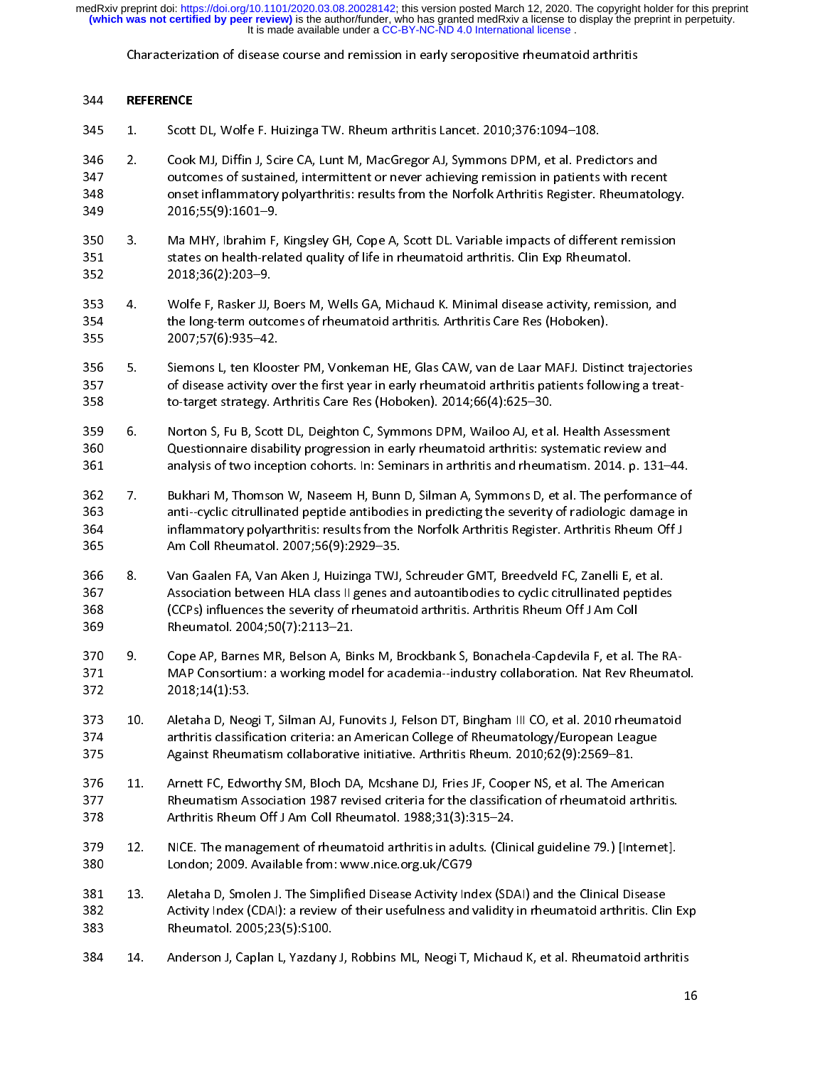Characterization of disease course and remission in early seropositive rheumatoid arthritis

- 345 REFERENCE<br>345 1. Scott
- 345 1. Scott DL, Wolfe F. Huizinga TW. Rheum arthritis Lancet. 2010;376:1094–108.<br>346 2. Cook MJ, Diffin J, Scire CA, Lunt M, MacGregor AJ, Symmons DPM, et al. Predictors and<br>347 0utcomes of sustained, intermittent or neve 347 347 outcomes of sustained, intermittent or never achieving remission in patients with recent<br>348 onset inflammatory polyarthritis: results from the Norfolk Arthritis Register. Rheumatolog 348 onset inflammatory polyarthritis: results from the Norfolk Arthritis Register. Rheumatology.<br>349 2016;55(9):1601–9. 348 onset inflammatory polyarthritis: results from the Norfolk Arthritis Register. Rheumatology.
- 350 3. Ma MHY, Ibrahim F, Kingsley GH, Cope A, Scott DL. Variable impacts of different remission<br>351 states on health-related quality of life in rheumatoid arthritis. Clin Exp Rheumatol. 351 states on health-related quality of life in rheumatoid arthritis. Clin Exp Rheumatol.<br>352 2018;36(2):203–9.  $352$  states on  $2018;36(2):203-9$
- 353 4. Wolfe F, Rasker JJ, Boers M, Wells GA, Michaud K. Minimal disease activity, remission, and<br>354 the long-term outcomes of rheumatoid arthritis. Arthritis Care Res (Hoboken). 354 the long-term outcomes of rheumatoid arthritis. Arthritis Care Res (Hoboken).<br>355 2007;57(6):935–42.  $355$   $2007;57(6):935-42.$
- 356 5. Siemons L, ten Klooster PM, Vonkeman HE, Glas CAW, van de Laar MAFJ. Distinct trajectories<br>357 of disease activity over the first year in early rheumatoid arthritis patients following a treat-357 5. Siemons of disease activity over the first year in early rheumatoid arthritis patients following a treat<br>358 to-target strategy. Arthritis Care Res (Hoboken). 2014;66(4):625–30.
- 359 6. Norton S, Fu B, Scott DL, Deighton C, Symmons DPM, Wailoo AJ, et al. Health Assessment 360 5. 2015 2. Questionnaire disability progression in early rheumatoid arthritis: systematic review and<br>361 5. Ally analysis of two inception cohorts. In: Seminars in arthritis and rheumatism. 2014. p. 131-361 analysis of two inception cohorts. In: Seminars in arthritis and rheumatism. 2014. p. 131–44.<br>362 7. Bukhari M, Thomson W, Naseem H, Bunn D, Silman A, Symmons D, et al. The performance of
- 361 analysis of two inception cohorts. In: Seminars in arthritis and rheumatism. 2014. p. 131–44. 363 363 anti--cyclic citrullinated peptide antibodies in predicting the severity of radiologic damage in<br>364 inflammatory polyarthritis: results from the Norfolk Arthritis Register. Arthritis Rheum Off J 364 anti---cyclic citrum inflammatory polyarthritis: results from the Norfolk Arthritis Register. Arthritis Rheum Off J<br>365 Am Coll Rheumatol. 2007;56(9):2929–35. 364 inflammatory polyarthritis: results from the Norfolk Arthritis Register. Arthritis Rheum Off J
- 366 8. Van Gaalen FA, Van Aken J, Huizinga TWJ, Schreuder GMT, Breedveld FC, Zanelli E, et al.<br>367 Sasociation between HLA class II genes and autoantibodies to cyclic citrullinated peptide 367 8. Van Gaalen Fry, Van Huizing, Fransen Fry, Sungaing, 2007, 2008.<br>367 368 (CCPs) influences the severity of rheumatoid arthritis. Arthritis Rheum Off J Am Coll 367 Association between HLA class II genes and autoantibodies to cyclic citrullinated peptides 369 Rheumatol. 2004;50(7):2113-21.
- 370 9. Cope AP, Barnes MR, Belson A, Binks M, Brockbank S, Bonachela-Capdevila F, et al. The RA-372 2018; 14(1): 53  $372$  a  $2018;14(1):53$ .
- 373 10. Aletaha D, Neogi T, Silman AJ, Funovits J, Felson DT, Bingham III CO, et al. 2010 rheumatoid<br>374 **1918: arthritis classification criteria: an American College of Rheumatology/European League** 373 10. Aletaha D, Neogi T, Silman AJ, Funovits J, Felson DT, Bingham III CO, et al. 2010 rheumatoid 375 Against Rheumatism collaborative initiative. Arthritis Rheum. 2010;62(9):2569–81.
- 375 Against Rheumatism collaborative initiative. Arthritis Rheum. 2010;62(9):2569–81. 377 11. Aheumatism Association 1987 revised criteria for the classification of rheumatoid arthritis.<br>378 1886 Arthritis Rheum Off J Am Coll Rheumatol. 1988:31(3):315–24. Arthritis Rheum Off J Am Coll Rheumatol. 1988;31(3):315-24.
- 378 Arthritis Rheum Off J Am Coll Rheumatol. 1988;31(3):315–24. London; 2009. Available from: www.nice.org.uk/CG79
- 381 13. Aletaha D, Smolen J. The Simplified Disease Activity Index (SDAI) and the Clinical Disease<br>382 **Activity Index (CDAI): a review of their** usefulness and validity in rheumatoid arthritis. Cli 382 Activity Index (CDAI): a review of their usefulness and validity in rheumatoid arthritis. Clin Exp<br>383 Rheumatol. 2005;23(5):S100.  $383$  Rheumatol.  $2005; 23(5): 5100$ .
- 384 14. Anderson J, Caplan L, Yazdany J, Robbins ML, Neogi T, Michaud K, et al. Rheumatoid arthritis 384 14. Anderson J, Caplan L, Yazdany J, Robbins ML, Neogi T, Michaud K, et al. Rheumatoid arthritis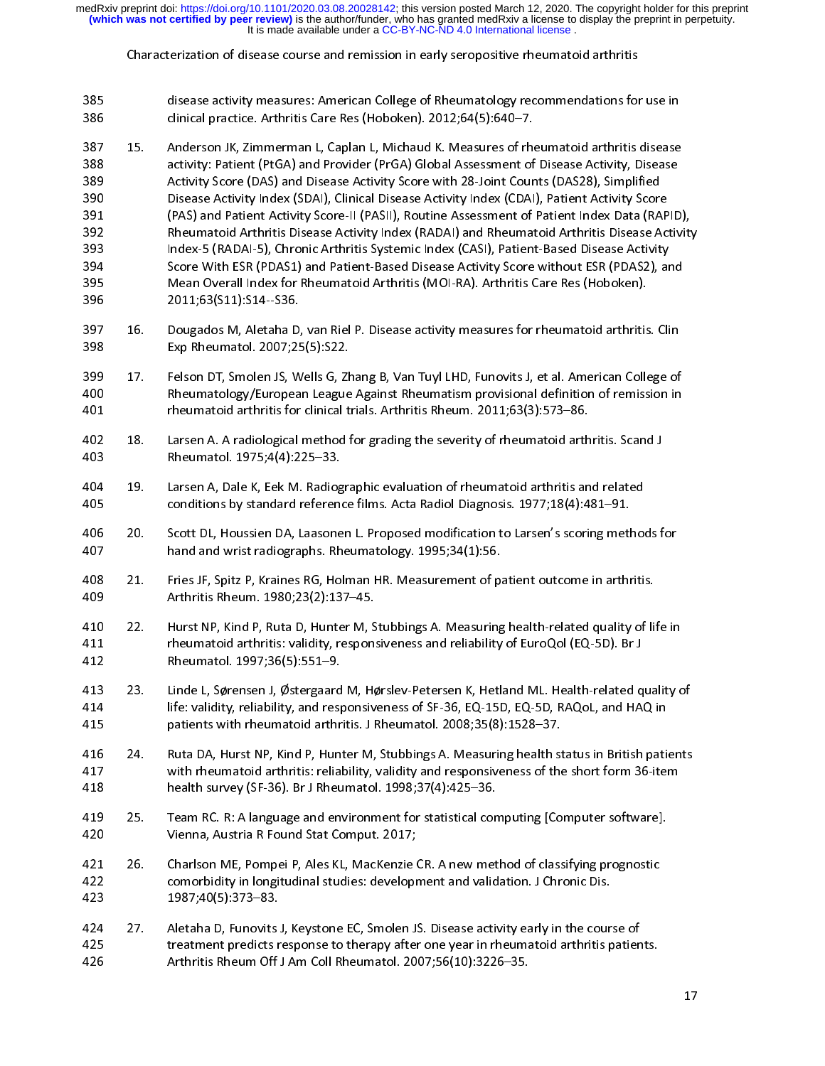Characterization of disease course and remission in early seropositive rheumatoid arthritis

disease activity measures: American College of Rheumatology recommendations for use in<br>386 clinical practice. Arthritis Care Res (Hoboken). 2012;64(5):640–7.<br>387 15. Anderson JK, Zimmerman L, Caplan L, Michaud K. Measures 385 387 15. Anderson JK, Zimmerman L, Caplan L, Michaud K. Measures of rheumatoid arthritis disease<br>388 care activity: Patient (PtGA) and Provider (PrGA) Global Assessment of Disease Activity, Disease 388 15. activity: Patient (PtGA) and Provider (PrGA) Global Assessment of Disease Activity, Disease<br>389 15. Activity Score (DAS) and Disease Activity Score with 28-Joint Counts (DAS28), Simplified 389 Activity Score (DAS) and Disease Activity Score with 28-Joint Counts (DAS28), Simplified 390 **bisease Activity Index (SDAI), Clinical Disease Activity Index (CDAI), Patient Activity Score** 390 Disease Activity Index (SDAI), Clinical Disease Activity Index (CDAI), Patient Activity Score 391 (PAS) and Patient Activity Score-II (PASII), Routine Assessment of Patient Index Data (RAPID),<br>392 Rheumatoid Arthritis Disease Activity Index (RADAI) and Rheumatoid Arthritis Disease Acti 393 Index-5 (RADAI-5), Chronic Arthritis Systemic Index (CASI), Patient-Based Disease Activity<br>394 Score With ESR (PDAS1) and Patient-Based Disease Activity Score without ESR (PDAS 394 Index-Structure Marthritis Systemic Marthritis (Chronic Arthritis Score With ESR (PDAS1) and Patient-Based Disease Activity Score without ESR (PDAS2), and<br>395 Mean Overall Index for Rheumatoid Arthritis (MOI-RA). Arthr 394 Score With ESR (PDAS1) and Patient-Based Disease Activity Score without ESR (PDAS2<br>395 Mean Overall Index for Rheumatoid Arthritis (MOI-RA). Arthritis Care Res (Hoboken).<br>396 2011;63(S11):S14--S36.  $396$  Mean  $2011;63(511):514-536.$ 397 16. Dougados M, Aletaha D, van Riel P. Disease activity measures for rheumatoid arthritis. Clin<br>398 Exp Rheumatol. 2007;25(5):S22. Exp Rheumatol. 2007; 25(5): S22. 399 17. Felson DT, Smolen JS, Wells G, Zhang B, Van Tuyl LHD, Funovits J, et al. American College of<br>400 Rheumatology/European League Against Rheumatism provisional definition of remission in 400 Rheumatology/European League Against Rheumatism provisional definition of remission in<br>401 heumatoid arthritis for clinical trials. Arthritis Rheum. 2011;63(3):573–86. 401 **Rheumatoid arthritis for clinical trials**. Arthritis Rheum. 2011;63(3):573–86.<br>402 Against Parsen A. A radiological method for grading the severity of rheumatoid arth 402 18. Larsen A. A radiological method for grading the severity of rheumatoid arthritis. Scand J<br>403 Rheumatol. 1975;4(4):225–33. 403 18. Rheumatol. 1975;4(4):225–33.<br>19. Larsen A, Dale K, Eek M. Radiog 404 19. Larsen A, Dale K, Eek M. Radiographic evaluation of rheumatoid arthritis and related<br>405 Conditions by standard reference films. Acta Radiol Diagnosis. 1977;18(4):481–91. 405 1977;18(4):481–91. Larsen A, Dale K, Eeknalard reference films. Acta Radiol Diagnosis.<br>1977;18(4):481–91. A, Dale K, Eek M. Laasonen L. Proposed modification to Larsen's scoring met Scott DL, Houssien DA, Laasonen L. Proposed modification to Larsen's scoring methods for 407 hand and wrist radiographs. Rheumatology. 1995;34(1):56.<br>408 21. Pries JF. Spitz P. Kraines RG. Holman HR. Measurement of p 407 hand and wrist radiographs. Rheumatology. 1995;34(1):56. 409 409 22. Arthritis Rheum. 1980;23(2):137–45.<br>410 22. Hurst NP. Kind P. Ruta D. Hunter M. S 410 22. Hurst NP, Kind P, Ruta D, Hunter M, Stubbings A. Measuring health-related quality of life in<br>411 Theumatoid arthritis: validity, responsiveness and reliability of EuroQol (EQ-5D). Br J 411 rheumatoid arthritis: validity, responsiveness and reliability of EuroQol (EQ-5D). Br J<br>412 Rheumatol. 1997;36(5):551–9. 412 Rheumatol. 1997;36(5):551–9.<br>413 23. Linde L. Sørensen J. Østergaarc 413 23. Linde L, Sørensen J, Østergaard M, Hørslev-Petersen K, Hetland ML. Health-related quality of<br>414 filos: validity, reliability, and responsiveness of SF-36, EQ-15D, EQ-5D, RAQoL, and HAQ in 414 life: validity, reliability, and responsiveness of SF-36, EQ-15D, EQ-5D, RAQoL, and HAQ in<br>415 http://www.matolid.arthritis. J. Rheumatol. 2008;35(8):1528–37. 415 patients with rheumatoid arthritis. J Rheumatol. 2008;35(8):1528–37.<br>416 124. Ruta DA. Hurst NP. Kind P. Hunter M. Stubbings A. Measuring health s 416 24. Ruta DA, Hurst NP, Kind P, Hunter M, Stubbings A. Measuring health status in British patients<br>417 with rheumatoid arthritis: reliability, validity and responsiveness of the short form 36-item 417 417 with rheumatoid arthritis: reliability, validity and responsiveness of the short form 36-item<br>418 health survey (SF-36). Br J Rheumatol. 1998;37(4):425–36. 418 health survey (SF-36). Br J Rheumatol. 1998;37(4):425–36.<br>419 25. Team RC. R: A language and environment for statistical co Team RC. R: A language and environment for statistical computing [Computer software]. 420 25. Vienna, Austria R Found Stat Comput. 2017;<br>1991 - 26. Danalson ME. Pompei P. Ales KL. MacKenzie 421 26. Charlson ME, Pompei P, Ales KL, MacKenzie CR. A new method of classifying prognostic<br>422 comorbidity in longitudinal studies: development and validation. J Chronic Dis. 422 comorbidity in longitudinal studies: development and validation. J Chronic Dis.<br>423 1987;40(5):373–83. 423 comorbidity in longitudinal studies: development and validation. June 2003<br>423 comorbidity in longitudinal studies:  $\frac{1}{2}$ 424 27. Aletaha D, Funovits J, Keystone EC, Smolen JS. Disease activity early in the course of 425 125. treatment predicts response to therapy after one year in rheumatoid arthritis patients.<br>426 120 Arthritis Rheum Off J Am Coll Rheumatol. 2007;56(10):3226–35. Arthritis Rheum Off J Am Coll Rheumatol. 2007;56(10):3226-35.  $426$  Arthur Collins Collins  $\frac{1}{2}$  Am Collins  $\frac{1}{2}$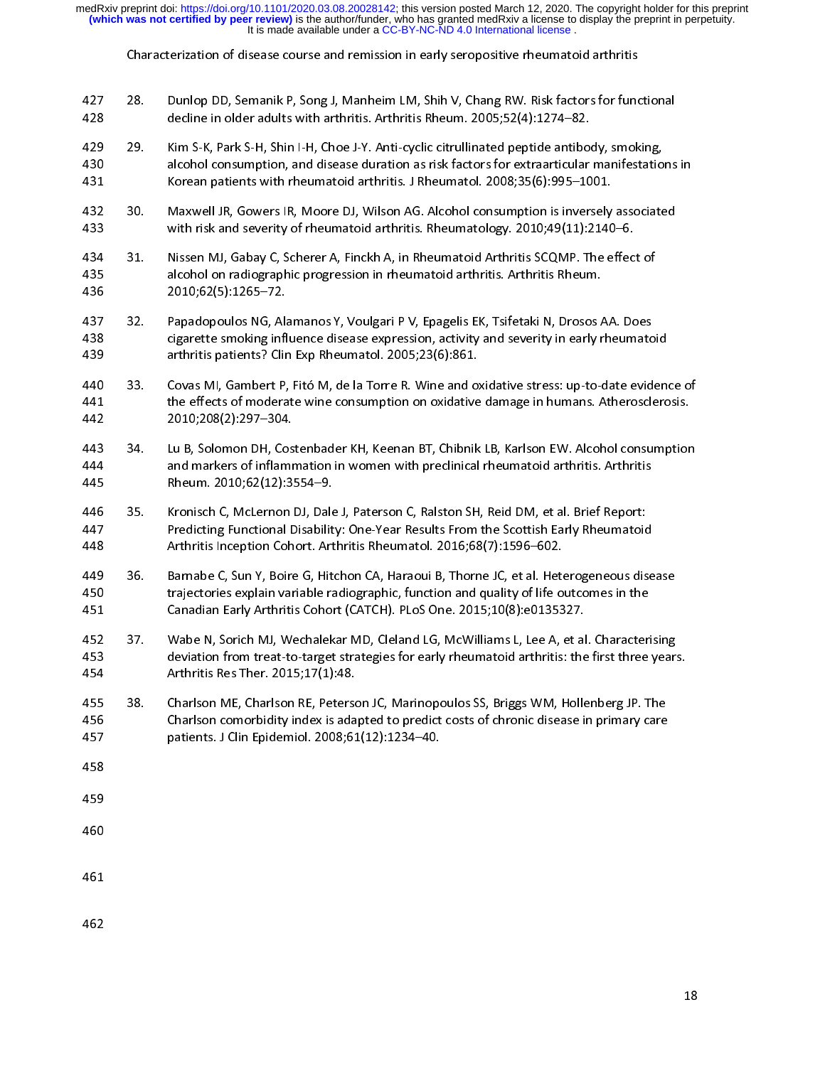Characterization of disease course and remission in early seropositive rheumatoid arthritis

- 427 28. Dunlop DD, Semanik P, Song J, Manheim LM, Shih V, Chang RW. Risk factors for functional<br>428 decline in older adults with arthritis. Arthritis Rheum. 2005;52(4):1274–82.<br>429 29. Kim S-K, Park S-H, Shin I-H, Choe J-Y. An
- 429 29. Kim S-K, Park S-H, Shin I-H, Choe J-Y. Anti-cyclic citrullinated peptide antibody, smoking,<br>430 alcohol consumption, and disease duration as risk factors for extraarticular manifestatic 429 29. Kim S-K, Park S-H, Shin I-H, Choe J-Y. Anti-cyclic citrullinated peptide antibody, smoking,
- 431 695-1001 Korean patients with rheumatoid arthritis. J Rheumatol. 2008;35(6):995-1001.<br>432 a. Maxwell JR. Gowers IR. Moore DJ. Wilson AG. Alcohol consumption is inversely Maxwell JR, Gowers IR, Moore DJ, Wilson AG. Alcohol consumption is inversely associated
- 433 30. 433 with risk and severity of rheumatoid arthritis. Rheumatology. 2010;49(11):2140–6.<br>434 31. Nissen MJ, Gabay C, Scherer A, Finckh A, in Rheumatoid Arthritis SCQMP. The effec 433 with risk and severity of rheumatoid arthritis. Rheumatology. 2010;49(11):2140–6. 435 alcohol on radiographic progression in rheumatoid arthritis. Arthritis Rheum.<br>436 2010;62(5):1265–72. 436 alcohol on radiographic progression in rheumatoid arthritis Rheumatoid arthritis Rheum.<br>436 alcohol on rheum.
- 437 32. Papadopoulos NG, Alamanos Y, Voulgari PV, Epagelis EK, Tsifetaki N, Drosos AA. Does<br>438 cigarette smoking influence disease expression, activity and severity in early rheumato 438 32. Englemente Sanding influence disease expression, activity and severity in early rheumatoid 439 and arthritis patients? Clin Exp Rheumatol. 2005;23(6):861. 439 cigarthritis patients? Clin Exp Rheumatol. 2005;23(6):861.<br>440 33. Covas MI. Gambert P. Fitó M. de la Torre R. Wine and o
- 440 33. Covas MI, Gambert P, Fitó M, de la Torre R. Wine and oxidative stress: up-to-date evidence of 441 441 the effects of moderate wine consumption on oxidative damage in humans. Atherosclerosis.<br>442 2010;208(2):297–304.  $442$   $2010;208(2):297-304.$
- 443 34. Lu B, Solomon DH, Costenbader KH, Keenan BT, Chibnik LB, Karlson EW. Alcohol consumption<br>444 and markers of inflammation in women with preclinical rheumatoid arthritis. Arthritis 444 344 34. and markers of inflammation in women with preclinical rheumatoid arthritis. Arthritis 445 445 Rheum. 2010;62(12):3554–9.<br>446 35. Kronisch C. McLernon DJ. Dal
- Kronisch C, McLernon DJ, Dale J, Paterson C, Ralston SH, Reid DM, et al. Brief Report: 446 35. Kronisch C, McLernon DJ, Dale J, Paterson C, Ralston SH, Reid DM, et al. Brief Report:
- 448 Arthritis Inception Cohort. Arthritis Rheumatol. 2016;68(7):1596–602.<br>449 36. Barnabe C. Sun Y. Boire G. Hitchon CA. Haraoui B. Thorne JC. et al. Het 449 36. Barnabe C, Sun Y, Boire G, Hitchon CA, Haraoui B, Thorne JC, et al. Heterogeneous disease<br>450 trajectories explain variable radiographic, function and quality of life outcomes in the 449 36. Barnabe C, Sun Y, Boire G, Hitchon CA, Haraoui B, Thorne JC, et al. Heterogeneous disease
- 451 Canadian Early Arthritis Cohort (CATCH). PLoS One. 2015;10(8):e0135327.<br>452 trajectories explain Variable VI. Wechalekar MD. Cleland LG. McWilliams L. Lee A. et a 37. Wabe N, Sorich MJ, Wechalekar MD, Cleland LG, McWilliams L, Lee A, et al. Characterising 452 37. Wabe N, Sorich MJ, Wechalekar MD, Cleland LG, McWilliams L, Lee A, et al. Characterising
- 454 Arthritis Res Ther. 2015;17(1):48.<br>455 devine for arthritis: the first the first three years. 455 38. Charlson ME, Charlson RE, Peterson JC, Marinopoulos SS, Briggs WM, Hollenberg JP. The<br>456 Charlson comorbidity index is adapted to predict costs of chronic disease in primary care 456 38. Charlson comorbidity index is adapted to predict costs of chronic disease in primary care<br>457 3. patients. J Clin Epidemiol. 2008;61(12):1234–40. patients. J Clin Epidemiol. 2008;61(12):1234-40.  $458$
- 
- 458<br>459
- 459
- 
-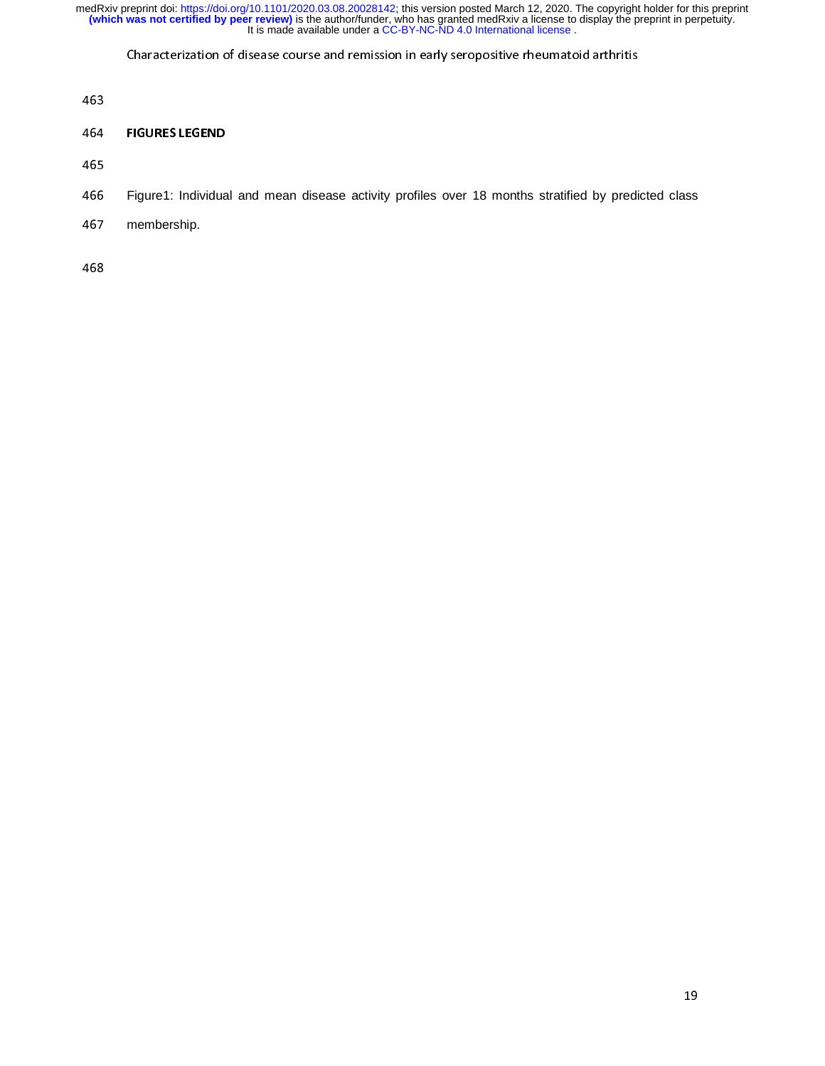Characterization of disease course and remission in early seropositive rheumatoid arthritis

463<br>464

# 465<br>465

465<br>466

- 466 Figure1: Individual and mean disease activity profiles over 18 months stratified by predicted class
- 467 membership.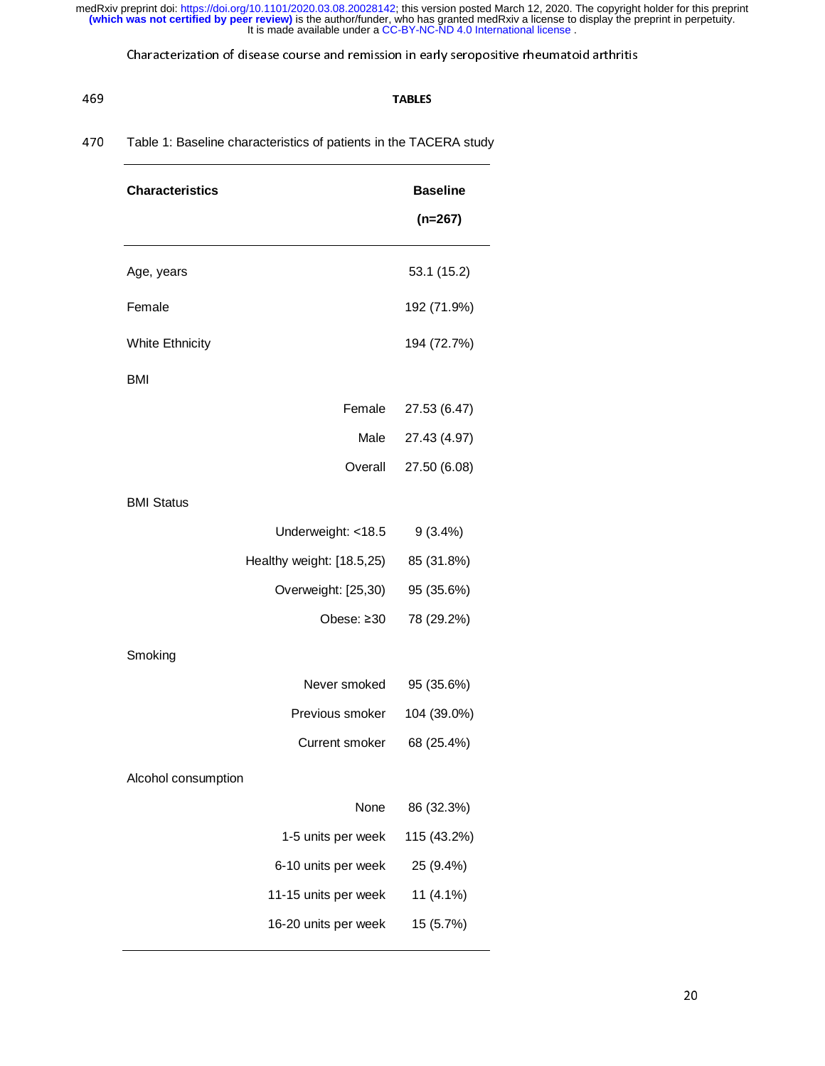Characterization of disease course and remission in early seropositive rheumatoid arthritis

### 469<br>1990 - England Borger, amerikansk politiker<br>1990 - England Borger, amerikansk politiker 470 Table 1: Baseline characteristics of patients in the TACERA study

| <b>Characteristics</b>    | <b>Baseline</b> |
|---------------------------|-----------------|
|                           | $(n=267)$       |
| Age, years                | 53.1 (15.2)     |
| Female                    | 192 (71.9%)     |
| <b>White Ethnicity</b>    | 194 (72.7%)     |
| <b>BMI</b>                |                 |
| Female                    | 27.53 (6.47)    |
| Male                      | 27.43 (4.97)    |
| Overall                   | 27.50 (6.08)    |
| <b>BMI Status</b>         |                 |
| Underweight: <18.5        | $9(3.4\%)$      |
| Healthy weight: [18.5,25) | 85 (31.8%)      |
| Overweight: [25,30)       | 95 (35.6%)      |
| Obese: ≥30                | 78 (29.2%)      |
| Smoking                   |                 |
| Never smoked              | 95 (35.6%)      |
| Previous smoker           | 104 (39.0%)     |
| <b>Current smoker</b>     | 68 (25.4%)      |
| Alcohol consumption       |                 |
| None                      | 86 (32.3%)      |
| 1-5 units per week        | 115 (43.2%)     |
| 6-10 units per week       | 25 (9.4%)       |
| 11-15 units per week      | 11 (4.1%)       |
| 16-20 units per week      | 15 (5.7%)       |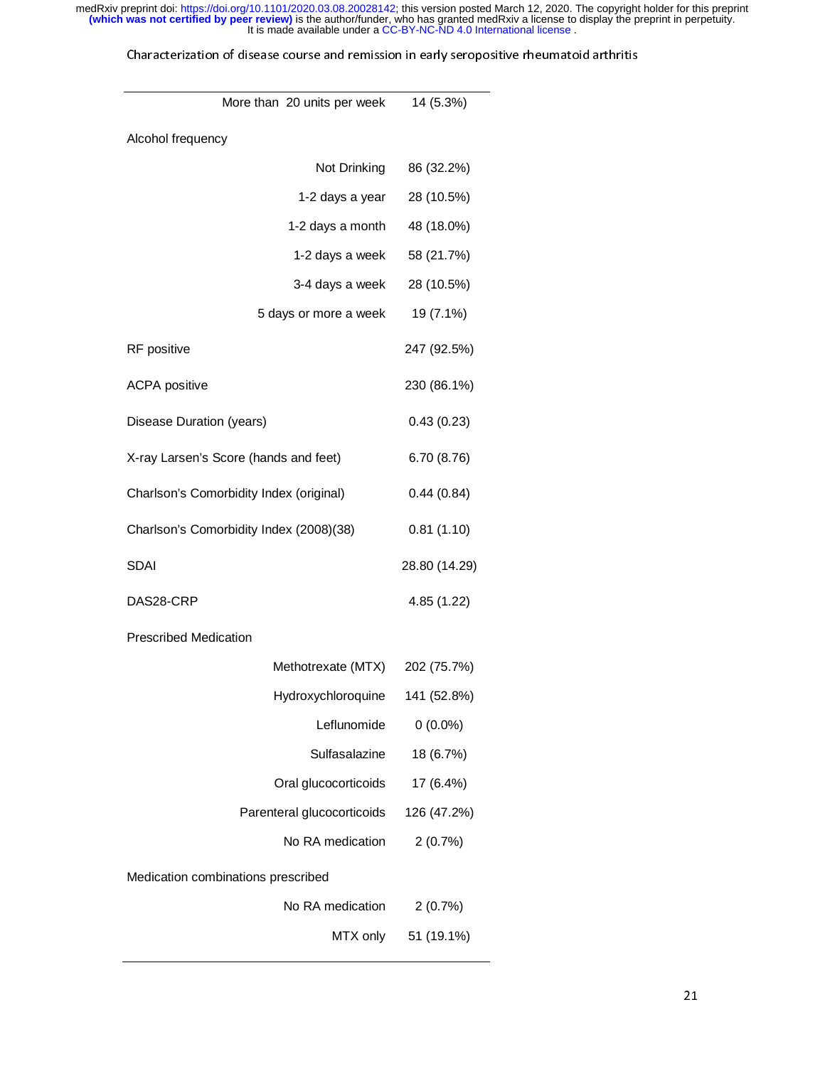| More than 20 units per week             | 14 (5.3%)     |
|-----------------------------------------|---------------|
| Alcohol frequency                       |               |
| Not Drinking                            | 86 (32.2%)    |
| 1-2 days a year                         | 28 (10.5%)    |
| 1-2 days a month                        | 48 (18.0%)    |
| 1-2 days a week                         | 58 (21.7%)    |
| 3-4 days a week                         | 28 (10.5%)    |
| 5 days or more a week                   | 19 (7.1%)     |
| RF positive                             | 247 (92.5%)   |
| <b>ACPA</b> positive                    | 230 (86.1%)   |
| Disease Duration (years)                | 0.43(0.23)    |
| X-ray Larsen's Score (hands and feet)   | 6.70(8.76)    |
| Charlson's Comorbidity Index (original) | 0.44(0.84)    |
| Charlson's Comorbidity Index (2008)(38) | 0.81(1.10)    |
| <b>SDAI</b>                             | 28.80 (14.29) |
| DAS28-CRP                               | 4.85 (1.22)   |
| <b>Prescribed Medication</b>            |               |
| Methotrexate (MTX)                      | 202 (75.7%)   |
| Hydroxychloroquine                      | 141 (52.8%)   |
| Leflunomide                             | $0(0.0\%)$    |
| Sulfasalazine                           | 18 (6.7%)     |
| Oral glucocorticoids                    | 17 (6.4%)     |
| Parenteral glucocorticoids              | 126 (47.2%)   |
| No RA medication                        | 2(0.7%)       |
| Medication combinations prescribed      |               |
| No RA medication                        | 2(0.7%)       |
| MTX only                                | 51 (19.1%)    |
|                                         |               |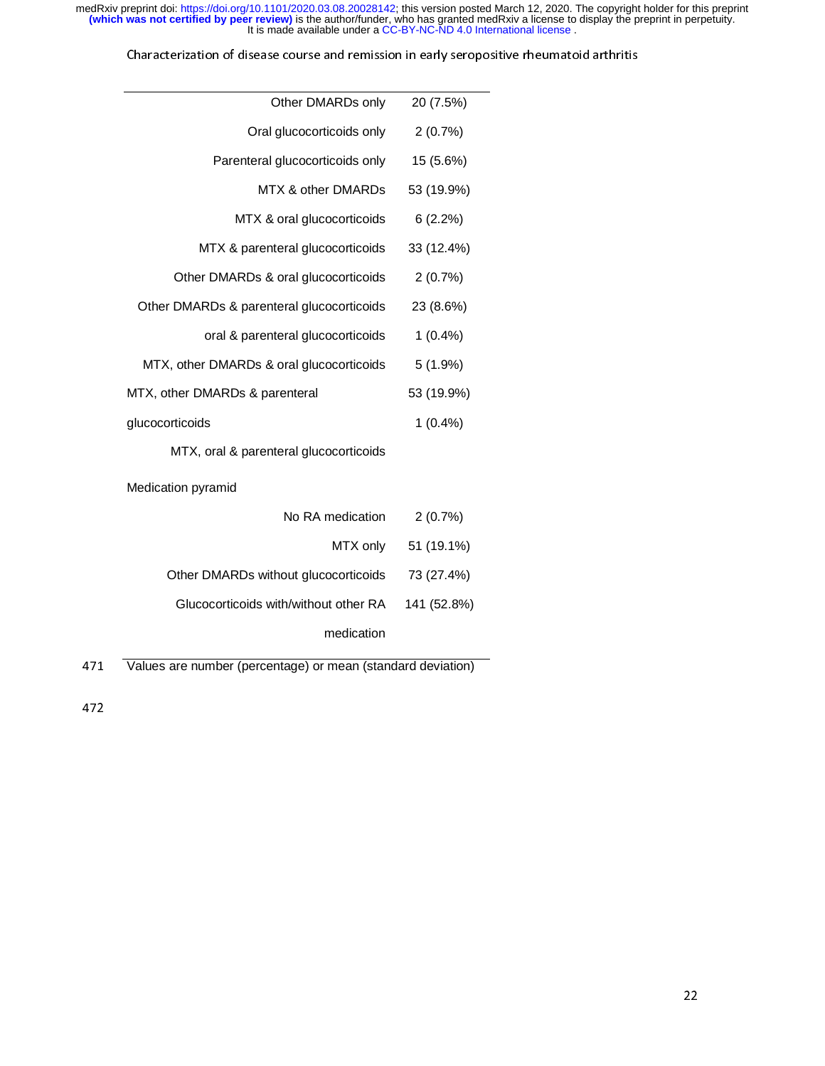| Other DMARDs only                         | 20 (7.5%)  |
|-------------------------------------------|------------|
| Oral glucocorticoids only                 | 2(0.7%)    |
| Parenteral glucocorticoids only           | 15 (5.6%)  |
| MTX & other DMARDs                        | 53 (19.9%) |
| MTX & oral glucocorticoids                | 6(2.2%)    |
| MTX & parenteral glucocorticoids          | 33 (12.4%) |
| Other DMARDs & oral glucocorticoids       | 2(0.7%)    |
| Other DMARDs & parenteral glucocorticoids | 23 (8.6%)  |
| oral & parenteral glucocorticoids         | $1(0.4\%)$ |
| MTX, other DMARDs & oral glucocorticoids  | 5(1.9%)    |
| MTX, other DMARDs & parenteral            | 53 (19.9%) |
| glucocorticoids                           | $1(0.4\%)$ |
| MTX, oral & parenteral glucocorticoids    |            |
| Medication pyramid                        |            |
| No RA medication                          | 2(0.7%)    |
|                                           |            |

| MTX only 51 (19.1%) |                                                   |
|---------------------|---------------------------------------------------|
|                     | Other DMARDs without glucocorticoids 73 (27.4%)   |
|                     | Glucocorticoids with/without other RA 141 (52.8%) |
|                     | medication                                        |

471 Values are number (percentage) or mean (standard deviation)<br>472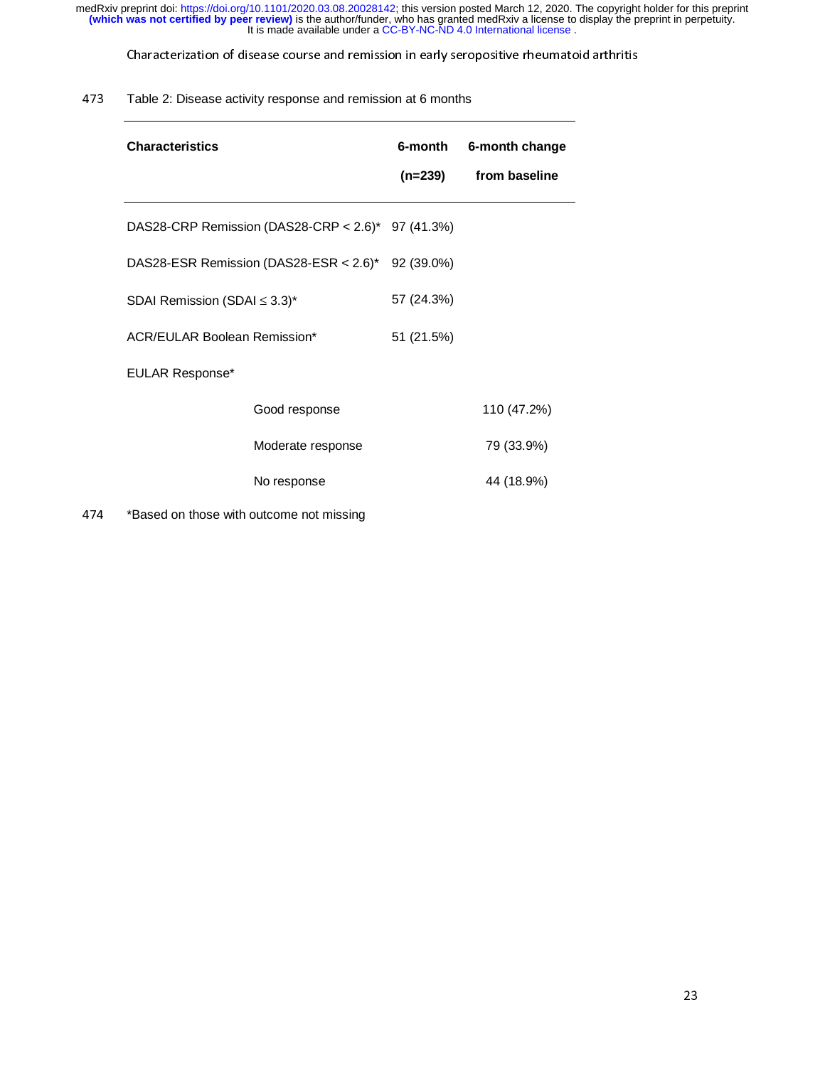Characterization of disease course and remission in early seropositive rheumatoid arthritis

### 473 Table 2: Disease activity response and remission at 6 months

| <b>Characteristics</b>              |                                                   | 6-month    | 6-month change |
|-------------------------------------|---------------------------------------------------|------------|----------------|
|                                     |                                                   | (n=239)    | from baseline  |
|                                     | DAS28-CRP Remission (DAS28-CRP < 2.6)* 97 (41.3%) |            |                |
|                                     | DAS28-ESR Remission (DAS28-ESR < 2.6)* 92 (39.0%) |            |                |
| SDAI Remission (SDAI $\leq$ 3.3)*   |                                                   | 57 (24.3%) |                |
| <b>ACR/EULAR Boolean Remission*</b> |                                                   | 51 (21.5%) |                |
| <b>EULAR Response*</b>              |                                                   |            |                |
|                                     | Good response                                     |            | 110 (47.2%)    |
|                                     | Moderate response                                 |            | 79 (33.9%)     |
|                                     | No response                                       |            | 44 (18.9%)     |

474 \*Based on those with outcome not missing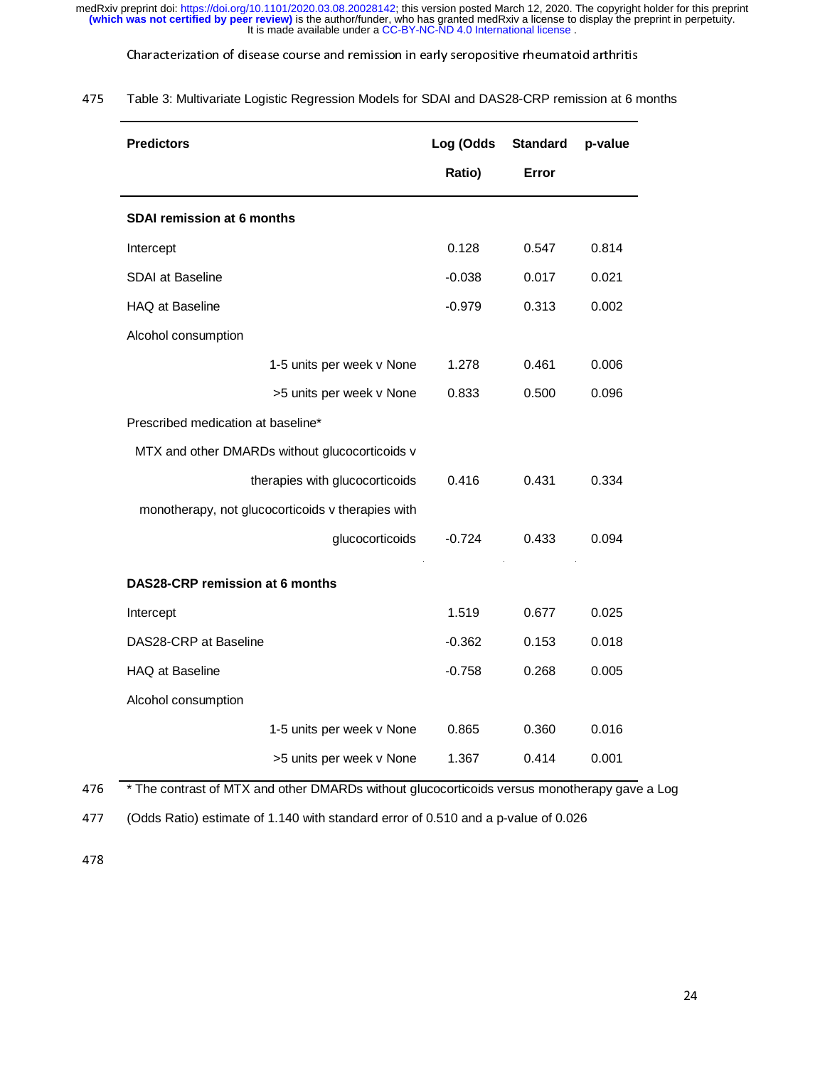Characterization of disease course and remission in early seropositive rheumatoid arthritis

| 475 | Table 3: Multivariate Logistic Regression Models for SDAI and DAS28-CRP remission at 6 months |
|-----|-----------------------------------------------------------------------------------------------|
|     |                                                                                               |

| <b>Predictors</b>                                 | Log (Odds | <b>Standard</b> | p-value |
|---------------------------------------------------|-----------|-----------------|---------|
|                                                   | Ratio)    | Error           |         |
| <b>SDAI remission at 6 months</b>                 |           |                 |         |
| Intercept                                         | 0.128     | 0.547           | 0.814   |
| SDAI at Baseline                                  | $-0.038$  | 0.017           | 0.021   |
| HAQ at Baseline                                   | $-0.979$  | 0.313           | 0.002   |
| Alcohol consumption                               |           |                 |         |
| 1-5 units per week v None                         | 1.278     | 0.461           | 0.006   |
| >5 units per week v None                          | 0.833     | 0.500           | 0.096   |
| Prescribed medication at baseline*                |           |                 |         |
| MTX and other DMARDs without glucocorticoids v    |           |                 |         |
| therapies with glucocorticoids                    | 0.416     | 0.431           | 0.334   |
| monotherapy, not glucocorticoids v therapies with |           |                 |         |
| glucocorticoids                                   | $-0.724$  | 0.433           | 0.094   |
| DAS28-CRP remission at 6 months                   |           |                 |         |
| Intercept                                         | 1.519     | 0.677           | 0.025   |
| DAS28-CRP at Baseline                             | $-0.362$  | 0.153           | 0.018   |
| HAQ at Baseline                                   | $-0.758$  | 0.268           | 0.005   |
| Alcohol consumption                               |           |                 |         |
| 1-5 units per week v None                         | 0.865     | 0.360           | 0.016   |
| >5 units per week v None                          | 1.367     | 0.414           | 0.001   |

 $476$  \* The contrast of MTX and other DMARDs without glucocorticoids versus monotherapy gave a Log<br>477 (Odds Ratio) estimate of 1.140 with standard error of 0.510 and a p-value of 0.026

477 (Odds Ratio) estimate of 1.140 with standard error of 0.510 and a p-value of 0.026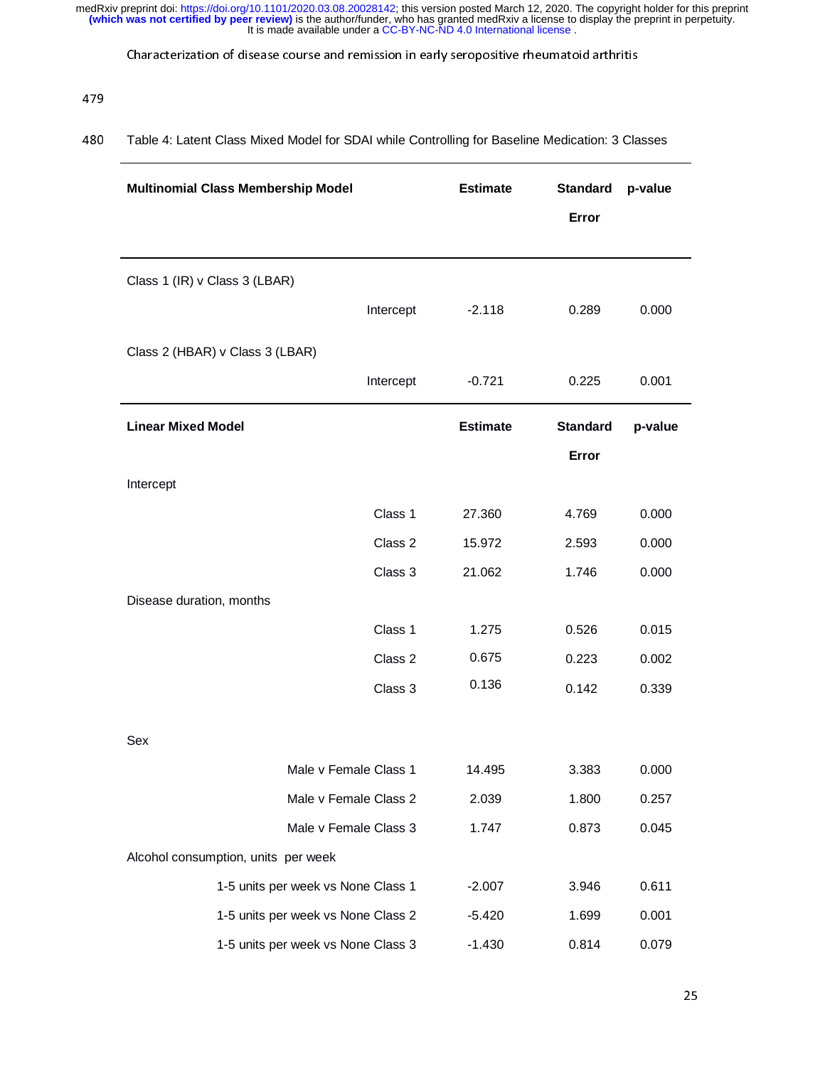Characterization of disease course and remission in early seropositive rheumatoid arthritis

### 479 Table 4: Latent Class Mixed Model for SDAI while Controlling for Baseline Medication: 3 Classes

| <b>Multinomial Class Membership Model</b> | <b>Estimate</b> | <b>Standard</b> | p-value |  |
|-------------------------------------------|-----------------|-----------------|---------|--|
|                                           |                 | Error           |         |  |
|                                           |                 |                 |         |  |
| Class 1 (IR) v Class 3 (LBAR)             |                 |                 |         |  |
| Intercept                                 | $-2.118$        | 0.289           | 0.000   |  |
|                                           |                 |                 |         |  |
| Class 2 (HBAR) v Class 3 (LBAR)           |                 |                 |         |  |
| Intercept                                 | $-0.721$        | 0.225           | 0.001   |  |
| <b>Linear Mixed Model</b>                 | <b>Estimate</b> | <b>Standard</b> | p-value |  |
|                                           |                 | Error           |         |  |
| Intercept                                 |                 |                 |         |  |
| Class 1                                   | 27.360          | 4.769           | 0.000   |  |
| Class 2                                   | 15.972          | 2.593           | 0.000   |  |
| Class 3                                   | 21.062          | 1.746           | 0.000   |  |
| Disease duration, months                  |                 |                 |         |  |
| Class 1                                   | 1.275           | 0.526           | 0.015   |  |
| Class 2                                   | 0.675           | 0.223           | 0.002   |  |
| Class 3                                   | 0.136           | 0.142           | 0.339   |  |
|                                           |                 |                 |         |  |
| Sex                                       |                 |                 |         |  |
| Male v Female Class 1                     | 14.495          | 3.383           | 0.000   |  |
| Male v Female Class 2                     | 2.039           | 1.800           | 0.257   |  |
| Male v Female Class 3                     | 1.747           | 0.873           | 0.045   |  |
| Alcohol consumption, units per week       |                 |                 |         |  |
| 1-5 units per week vs None Class 1        | $-2.007$        | 3.946           | 0.611   |  |
| 1-5 units per week vs None Class 2        | $-5.420$        | 1.699           | 0.001   |  |
| 1-5 units per week vs None Class 3        | $-1.430$        | 0.814           | 0.079   |  |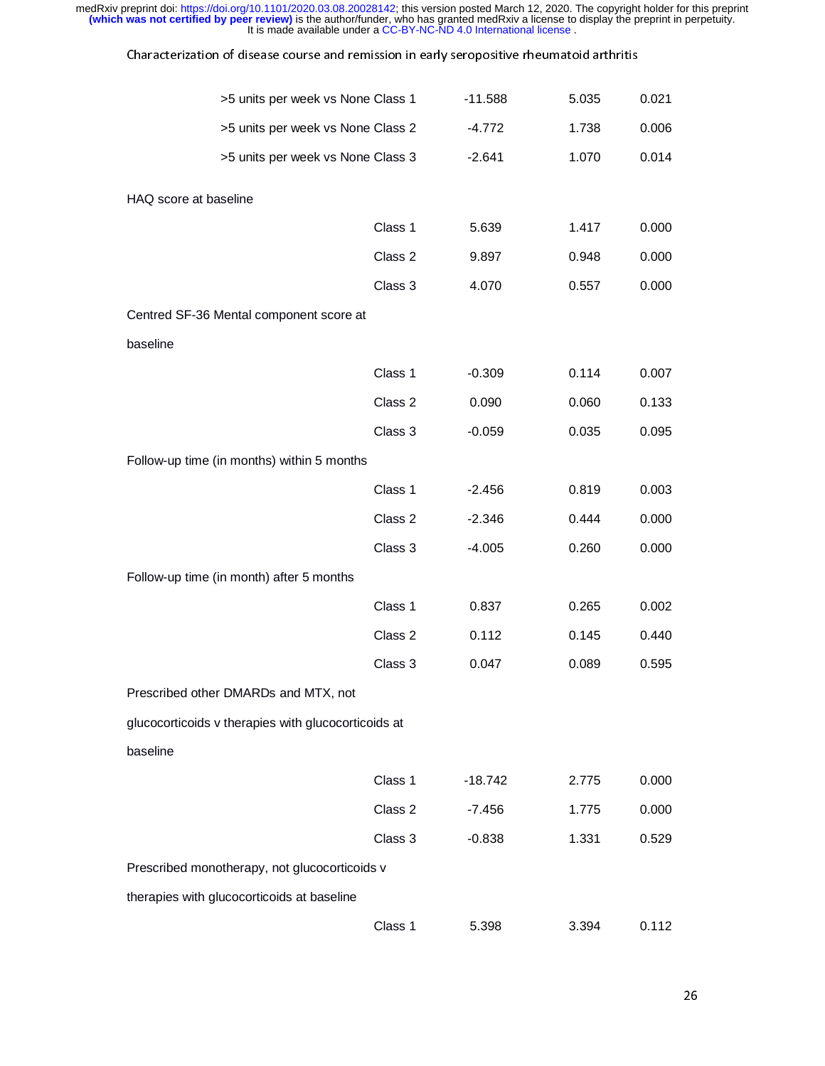| medRxiv preprint doi: https://doi.org/10.1101/2020.03.08.20028142; this version posted March 12, 2020. The copyright holder for this preprint<br>(which was not certified by peer review) is the author/funder, who has granted medRxiv a license to display the preprint in perpetuity.<br>It is made available under a CC-BY-NC-ND 4.0 International license. |         |           |       |       |  |  |
|-----------------------------------------------------------------------------------------------------------------------------------------------------------------------------------------------------------------------------------------------------------------------------------------------------------------------------------------------------------------|---------|-----------|-------|-------|--|--|
| Characterization of disease course and remission in early seropositive rheumatoid arthritis                                                                                                                                                                                                                                                                     |         |           |       |       |  |  |
| >5 units per week vs None Class 1                                                                                                                                                                                                                                                                                                                               |         | $-11.588$ | 5.035 | 0.021 |  |  |
| >5 units per week vs None Class 2                                                                                                                                                                                                                                                                                                                               |         | $-4.772$  | 1.738 | 0.006 |  |  |
| >5 units per week vs None Class 3                                                                                                                                                                                                                                                                                                                               |         | $-2.641$  | 1.070 | 0.014 |  |  |
| HAQ score at baseline                                                                                                                                                                                                                                                                                                                                           |         |           |       |       |  |  |
|                                                                                                                                                                                                                                                                                                                                                                 | Class 1 | 5.639     | 1.417 | 0.000 |  |  |
|                                                                                                                                                                                                                                                                                                                                                                 | Class 2 | 9.897     | 0.948 | 0.000 |  |  |
|                                                                                                                                                                                                                                                                                                                                                                 | Class 3 | 4.070     | 0.557 | 0.000 |  |  |
| Centred SF-36 Mental component score at                                                                                                                                                                                                                                                                                                                         |         |           |       |       |  |  |
| baseline                                                                                                                                                                                                                                                                                                                                                        |         |           |       |       |  |  |
|                                                                                                                                                                                                                                                                                                                                                                 | Class 1 | $-0.309$  | 0.114 | 0.007 |  |  |
|                                                                                                                                                                                                                                                                                                                                                                 | Class 2 | 0.090     | 0.060 | 0.133 |  |  |
|                                                                                                                                                                                                                                                                                                                                                                 | Class 3 | $-0.059$  | 0.035 | 0.095 |  |  |
| Follow-up time (in months) within 5 months                                                                                                                                                                                                                                                                                                                      |         |           |       |       |  |  |
|                                                                                                                                                                                                                                                                                                                                                                 | Class 1 | $-2.456$  | 0.819 | 0.003 |  |  |
|                                                                                                                                                                                                                                                                                                                                                                 | Class 2 | $-2.346$  | 0.444 | 0.000 |  |  |
|                                                                                                                                                                                                                                                                                                                                                                 | Class 3 | $-4.005$  | 0.260 | 0.000 |  |  |
| Follow-up time (in month) after 5 months                                                                                                                                                                                                                                                                                                                        |         |           |       |       |  |  |
|                                                                                                                                                                                                                                                                                                                                                                 | Class 1 | 0.837     | 0.265 | 0.002 |  |  |
|                                                                                                                                                                                                                                                                                                                                                                 | Class 2 | 0.112     | 0.145 | 0.440 |  |  |
|                                                                                                                                                                                                                                                                                                                                                                 | Class 3 | 0.047     | 0.089 | 0.595 |  |  |
| Prescribed other DMARDs and MTX, not                                                                                                                                                                                                                                                                                                                            |         |           |       |       |  |  |
| glucocorticoids v therapies with glucocorticoids at                                                                                                                                                                                                                                                                                                             |         |           |       |       |  |  |
| baseline                                                                                                                                                                                                                                                                                                                                                        |         |           |       |       |  |  |
|                                                                                                                                                                                                                                                                                                                                                                 | Class 1 | $-18.742$ | 2.775 | 0.000 |  |  |
|                                                                                                                                                                                                                                                                                                                                                                 | Class 2 | $-7.456$  | 1.775 | 0.000 |  |  |
|                                                                                                                                                                                                                                                                                                                                                                 | Class 3 | $-0.838$  | 1.331 | 0.529 |  |  |
| Prescribed monotherapy, not glucocorticoids v                                                                                                                                                                                                                                                                                                                   |         |           |       |       |  |  |
| therapies with glucocorticoids at baseline                                                                                                                                                                                                                                                                                                                      |         |           |       |       |  |  |
|                                                                                                                                                                                                                                                                                                                                                                 | Class 1 | 5.398     | 3.394 | 0.112 |  |  |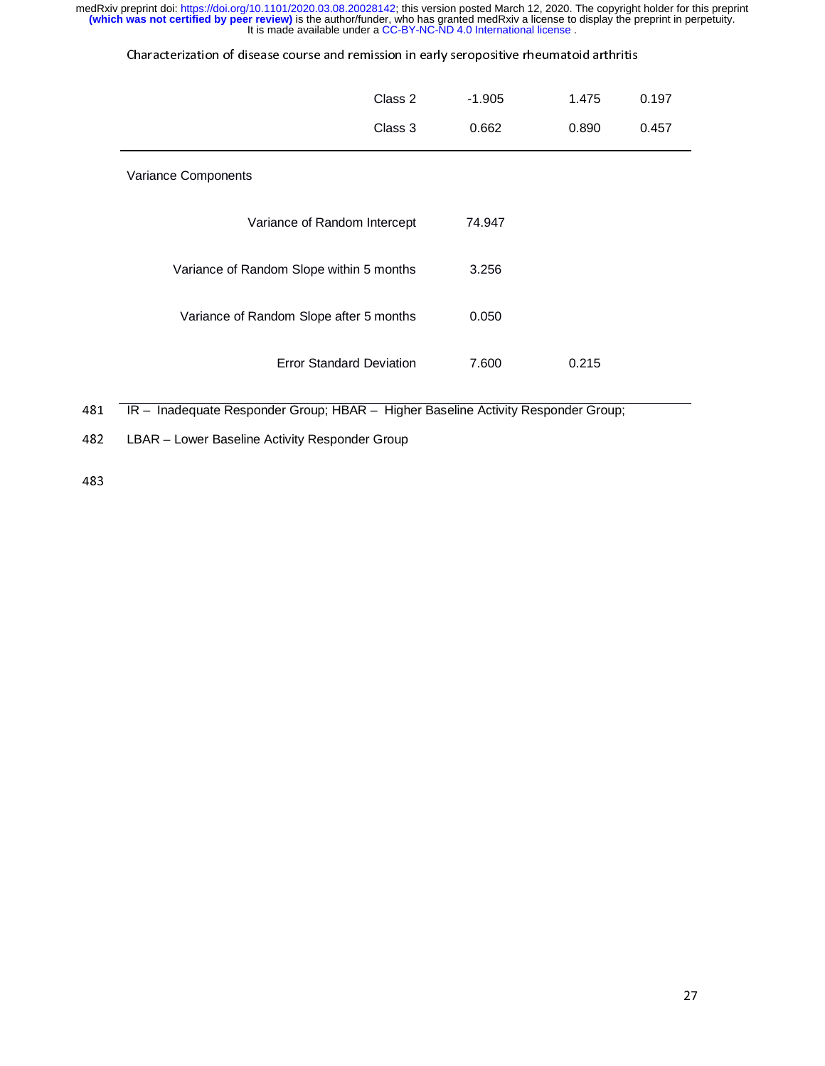| Class 2                                  | $-1.905$ | 1.475 | 0.197 |
|------------------------------------------|----------|-------|-------|
| Class 3                                  | 0.662    | 0.890 | 0.457 |
| Variance Components                      |          |       |       |
| Variance of Random Intercept             | 74.947   |       |       |
| Variance of Random Slope within 5 months | 3.256    |       |       |
| Variance of Random Slope after 5 months  | 0.050    |       |       |
| <b>Error Standard Deviation</b>          | 7.600    | 0.215 |       |

181 IR – Inadequate Responder Group; HBAR – Higher Baseline Activity Responder Group;<br>182 LBAR – Lower Baseline Activity Responder Group

482 LBAR – Lower Baseline Activity Responder Group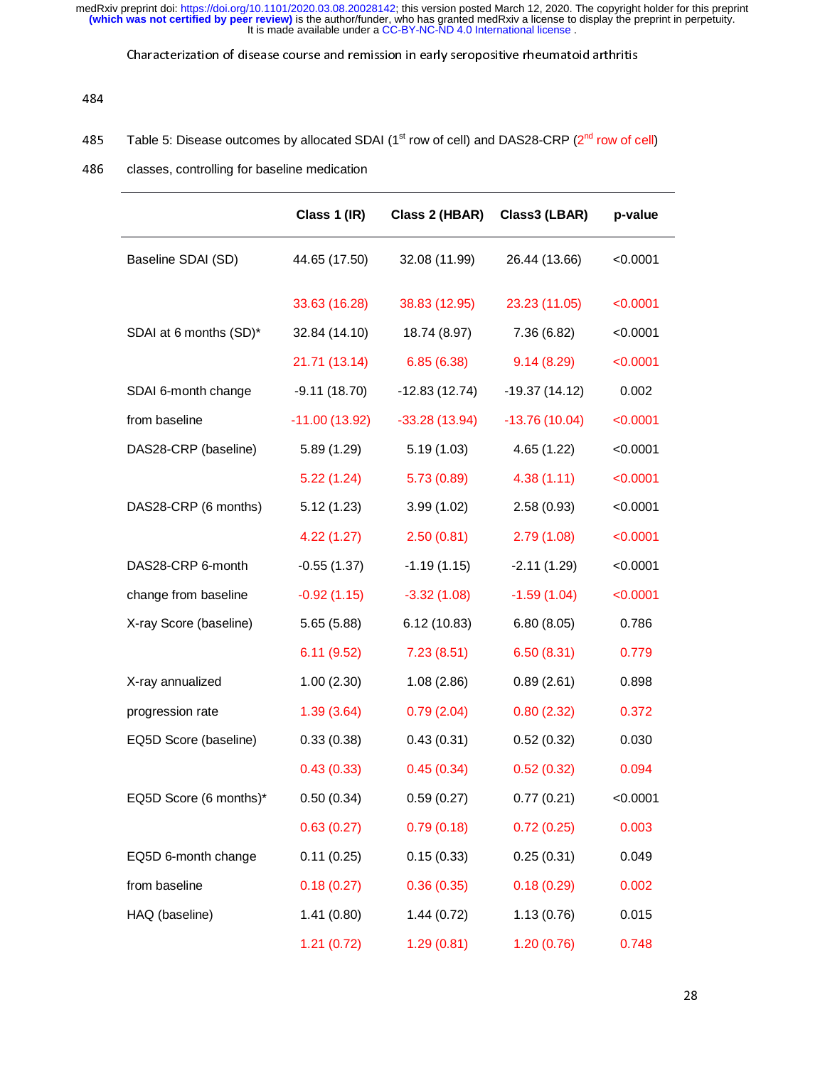Characterization of disease course and remission in early seropositive rheumatoid arthritis

### 484<br>485 485 Table 5: Disease outcomes by allocated SDAI (1<sup>st</sup> row of cell) and DAS28-CRP (2<sup>nd</sup> row of cell)<br>486 classes, controlling for baseline medication

### 486 classes, controlling for baseline medication

|                        | Class 1 (IR)    | Class 2 (HBAR)  | Class3 (LBAR)   | p-value  |
|------------------------|-----------------|-----------------|-----------------|----------|
| Baseline SDAI (SD)     | 44.65 (17.50)   | 32.08 (11.99)   | 26.44 (13.66)   | < 0.0001 |
|                        | 33.63 (16.28)   | 38.83 (12.95)   | 23.23 (11.05)   | < 0.0001 |
| SDAI at 6 months (SD)* | 32.84 (14.10)   | 18.74 (8.97)    | 7.36 (6.82)     | < 0.0001 |
|                        | 21.71 (13.14)   | 6.85(6.38)      | 9.14(8.29)      | < 0.0001 |
| SDAI 6-month change    | $-9.11(18.70)$  | $-12.83(12.74)$ | $-19.37(14.12)$ | 0.002    |
| from baseline          | $-11.00(13.92)$ | $-33.28(13.94)$ | $-13.76(10.04)$ | < 0.0001 |
| DAS28-CRP (baseline)   | 5.89(1.29)      | 5.19(1.03)      | 4.65 (1.22)     | < 0.0001 |
|                        | 5.22(1.24)      | 5.73(0.89)      | 4.38(1.11)      | < 0.0001 |
| DAS28-CRP (6 months)   | 5.12(1.23)      | 3.99(1.02)      | 2.58(0.93)      | < 0.0001 |
|                        | 4.22(1.27)      | 2.50(0.81)      | 2.79(1.08)      | < 0.0001 |
| DAS28-CRP 6-month      | $-0.55(1.37)$   | $-1.19(1.15)$   | $-2.11(1.29)$   | < 0.0001 |
| change from baseline   | $-0.92(1.15)$   | $-3.32(1.08)$   | $-1.59(1.04)$   | < 0.0001 |
| X-ray Score (baseline) | 5.65(5.88)      | 6.12(10.83)     | 6.80(8.05)      | 0.786    |
|                        | 6.11(9.52)      | 7.23(8.51)      | 6.50(8.31)      | 0.779    |
| X-ray annualized       | 1.00(2.30)      | 1.08(2.86)      | 0.89(2.61)      | 0.898    |
| progression rate       | 1.39(3.64)      | 0.79(2.04)      | 0.80(2.32)      | 0.372    |
| EQ5D Score (baseline)  | 0.33(0.38)      | 0.43(0.31)      | 0.52(0.32)      | 0.030    |
|                        | 0.43(0.33)      | 0.45(0.34)      | 0.52(0.32)      | 0.094    |
| EQ5D Score (6 months)* | 0.50(0.34)      | 0.59(0.27)      | 0.77(0.21)      | < 0.0001 |
|                        | 0.63(0.27)      | 0.79(0.18)      | 0.72(0.25)      | 0.003    |
| EQ5D 6-month change    | 0.11(0.25)      | 0.15(0.33)      | 0.25(0.31)      | 0.049    |
| from baseline          | 0.18(0.27)      | 0.36(0.35)      | 0.18(0.29)      | 0.002    |
| HAQ (baseline)         | 1.41(0.80)      | 1.44(0.72)      | 1.13(0.76)      | 0.015    |
|                        | 1.21(0.72)      | 1.29(0.81)      | 1.20(0.76)      | 0.748    |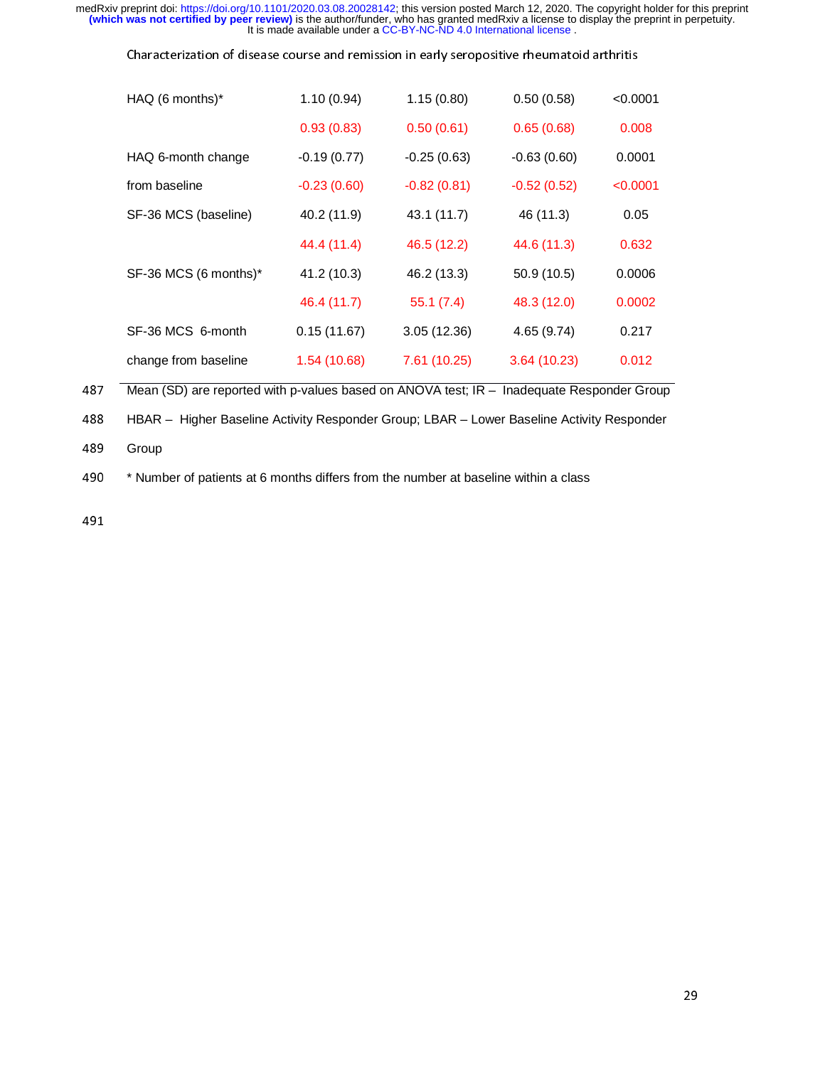| Characterization of disease course and remission in early seropositive rheumatoid arthritis |  |  |
|---------------------------------------------------------------------------------------------|--|--|
|                                                                                             |  |  |

| HAQ (6 months)*       | 1.10(0.94)    | 1.15(0.80)    | 0.50(0.58)    | < 0.0001 |
|-----------------------|---------------|---------------|---------------|----------|
|                       | 0.93(0.83)    | 0.50(0.61)    | 0.65(0.68)    | 0.008    |
| HAQ 6-month change    | $-0.19(0.77)$ | $-0.25(0.63)$ | $-0.63(0.60)$ | 0.0001   |
| from baseline         | $-0.23(0.60)$ | $-0.82(0.81)$ | $-0.52(0.52)$ | < 0.0001 |
| SF-36 MCS (baseline)  | 40.2 (11.9)   | 43.1 (11.7)   | 46 (11.3)     | 0.05     |
|                       | 44.4 (11.4)   | 46.5 (12.2)   | 44.6 (11.3)   | 0.632    |
| SF-36 MCS (6 months)* | 41.2 (10.3)   | 46.2 (13.3)   | 50.9 (10.5)   | 0.0006   |
|                       | 46.4 (11.7)   | 55.1(7.4)     | 48.3 (12.0)   | 0.0002   |
| SF-36 MCS 6-month     | 0.15(11.67)   | 3.05(12.36)   | 4.65(9.74)    | 0.217    |
| change from baseline  | 1.54 (10.68)  | 7.61 (10.25)  | 3.64(10.23)   | 0.012    |
|                       |               |               |               |          |

487 Mean (SD) are reported with p-values based on ANOVA test; IR – Inadequate Responder Group<br>488 HBAR – Higher Baseline Activity Responder Group; LBAR – Lower Baseline Activity Responder 488 HBAR – Higher Baseline Activity Responder Group; LBAR – Lower Baseline Activity Responder<br>489 Group

489 Group<br>490 \*Num<mark>l</mark> 490 \* Number of patients at 6 months differs from the number at baseline within a class